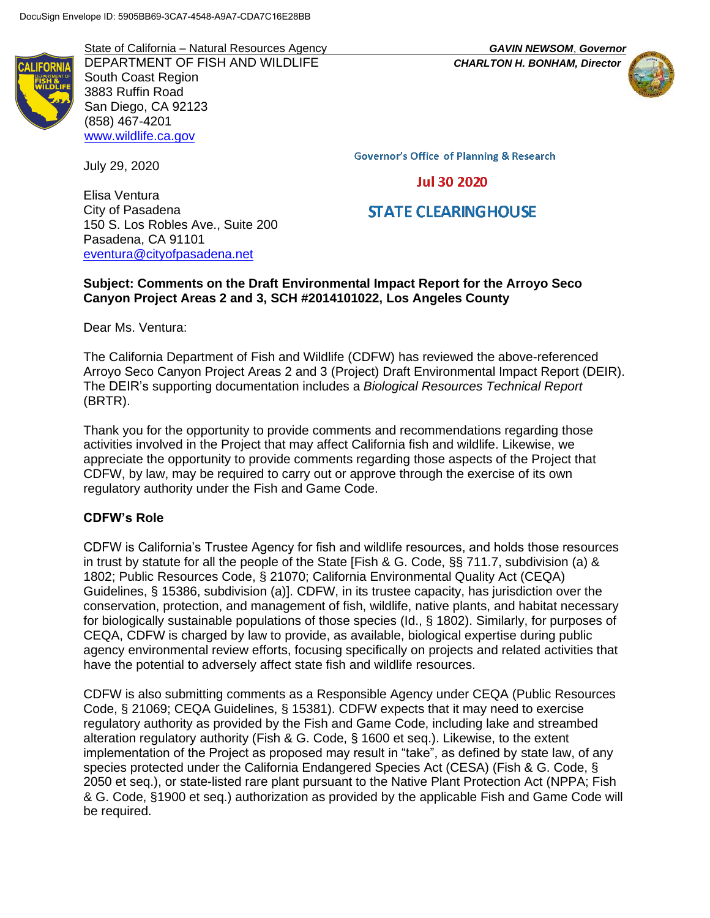State of California – Natural Resources Agency *GAVIN NEWSOM*, *Governor* DEPARTMENT OF FISH AND WILDLIFE *CHARLTON H. BONHAM, Director* South Coast Region 3883 Ruffin Road San Diego, CA 92123 (858) 467-4201 [www.wildlife.ca.gov](http://www.wildlife.ca.gov/)

150 S. Los Robles Ave., Suite 200

[eventura@cityofpasadena.net](mailto:eventura@cityofpasadena.net)

July 29, 2020

Elisa Ventura City of Pasadena **Governor's Office of Planning & Research** 

# **Jul 30 2020**

# **STATE CLEARING HOUSE**

### **Subject: Comments on the Draft Environmental Impact Report for the Arroyo Seco Canyon Project Areas 2 and 3, SCH #2014101022, Los Angeles County**

Dear Ms. Ventura:

Pasadena, CA 91101

The California Department of Fish and Wildlife (CDFW) has reviewed the above-referenced Arroyo Seco Canyon Project Areas 2 and 3 (Project) Draft Environmental Impact Report (DEIR). The DEIR's supporting documentation includes a *Biological Resources Technical Report* (BRTR).

Thank you for the opportunity to provide comments and recommendations regarding those activities involved in the Project that may affect California fish and wildlife. Likewise, we appreciate the opportunity to provide comments regarding those aspects of the Project that CDFW, by law, may be required to carry out or approve through the exercise of its own regulatory authority under the Fish and Game Code.

#### **CDFW's Role**

CDFW is California's Trustee Agency for fish and wildlife resources, and holds those resources in trust by statute for all the people of the State [Fish & G. Code, §§ 711.7, subdivision (a) & 1802; Public Resources Code, § 21070; California Environmental Quality Act (CEQA) Guidelines, § 15386, subdivision (a)]. CDFW, in its trustee capacity, has jurisdiction over the conservation, protection, and management of fish, wildlife, native plants, and habitat necessary for biologically sustainable populations of those species (Id., § 1802). Similarly, for purposes of CEQA, CDFW is charged by law to provide, as available, biological expertise during public agency environmental review efforts, focusing specifically on projects and related activities that have the potential to adversely affect state fish and wildlife resources.

CDFW is also submitting comments as a Responsible Agency under CEQA (Public Resources Code, § 21069; CEQA Guidelines, § 15381). CDFW expects that it may need to exercise regulatory authority as provided by the Fish and Game Code, including lake and streambed alteration regulatory authority (Fish & G. Code, § 1600 et seq.). Likewise, to the extent implementation of the Project as proposed may result in "take", as defined by state law, of any species protected under the California Endangered Species Act (CESA) (Fish & G. Code, § 2050 et seq.), or state-listed rare plant pursuant to the Native Plant Protection Act (NPPA; Fish & G. Code, §1900 et seq.) authorization as provided by the applicable Fish and Game Code will be required.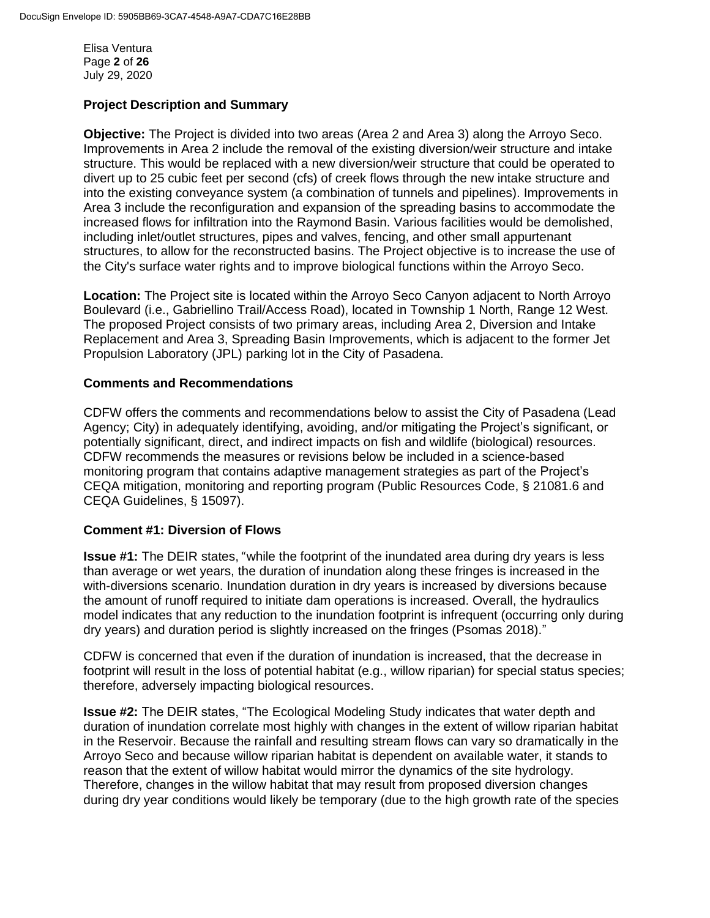Elisa Ventura Page **2** of **26** July 29, 2020

### **Project Description and Summary**

**Objective:** The Project is divided into two areas (Area 2 and Area 3) along the Arroyo Seco. Improvements in Area 2 include the removal of the existing diversion/weir structure and intake structure. This would be replaced with a new diversion/weir structure that could be operated to divert up to 25 cubic feet per second (cfs) of creek flows through the new intake structure and into the existing conveyance system (a combination of tunnels and pipelines). Improvements in Area 3 include the reconfiguration and expansion of the spreading basins to accommodate the increased flows for infiltration into the Raymond Basin. Various facilities would be demolished, including inlet/outlet structures, pipes and valves, fencing, and other small appurtenant structures, to allow for the reconstructed basins. The Project objective is to increase the use of the City's surface water rights and to improve biological functions within the Arroyo Seco.

**Location:** The Project site is located within the Arroyo Seco Canyon adjacent to North Arroyo Boulevard (i.e., Gabriellino Trail/Access Road), located in Township 1 North, Range 12 West. The proposed Project consists of two primary areas, including Area 2, Diversion and Intake Replacement and Area 3, Spreading Basin Improvements, which is adjacent to the former Jet Propulsion Laboratory (JPL) parking lot in the City of Pasadena.

### **Comments and Recommendations**

CDFW offers the comments and recommendations below to assist the City of Pasadena (Lead Agency; City) in adequately identifying, avoiding, and/or mitigating the Project's significant, or potentially significant, direct, and indirect impacts on fish and wildlife (biological) resources. CDFW recommends the measures or revisions below be included in a science-based monitoring program that contains adaptive management strategies as part of the Project's CEQA mitigation, monitoring and reporting program (Public Resources Code, § 21081.6 and CEQA Guidelines, § 15097).

#### **Comment #1: Diversion of Flows**

**Issue #1:** The DEIR states, "while the footprint of the inundated area during dry years is less than average or wet years, the duration of inundation along these fringes is increased in the with-diversions scenario. Inundation duration in dry years is increased by diversions because the amount of runoff required to initiate dam operations is increased. Overall, the hydraulics model indicates that any reduction to the inundation footprint is infrequent (occurring only during dry years) and duration period is slightly increased on the fringes (Psomas 2018)."

CDFW is concerned that even if the duration of inundation is increased, that the decrease in footprint will result in the loss of potential habitat (e.g., willow riparian) for special status species; therefore, adversely impacting biological resources.

**Issue #2:** The DEIR states, "The Ecological Modeling Study indicates that water depth and duration of inundation correlate most highly with changes in the extent of willow riparian habitat in the Reservoir. Because the rainfall and resulting stream flows can vary so dramatically in the Arroyo Seco and because willow riparian habitat is dependent on available water, it stands to reason that the extent of willow habitat would mirror the dynamics of the site hydrology. Therefore, changes in the willow habitat that may result from proposed diversion changes during dry year conditions would likely be temporary (due to the high growth rate of the species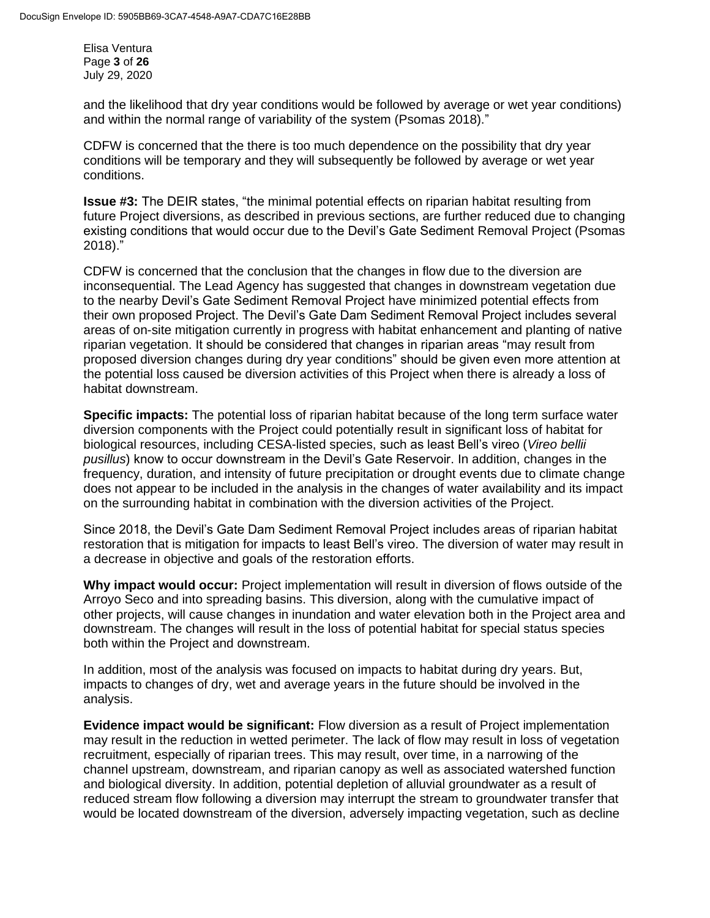Elisa Ventura Page **3** of **26** July 29, 2020

and the likelihood that dry year conditions would be followed by average or wet year conditions) and within the normal range of variability of the system (Psomas 2018)."

CDFW is concerned that the there is too much dependence on the possibility that dry year conditions will be temporary and they will subsequently be followed by average or wet year conditions.

**Issue #3:** The DEIR states, "the minimal potential effects on riparian habitat resulting from future Project diversions, as described in previous sections, are further reduced due to changing existing conditions that would occur due to the Devil's Gate Sediment Removal Project (Psomas 2018)."

CDFW is concerned that the conclusion that the changes in flow due to the diversion are inconsequential. The Lead Agency has suggested that changes in downstream vegetation due to the nearby Devil's Gate Sediment Removal Project have minimized potential effects from their own proposed Project. The Devil's Gate Dam Sediment Removal Project includes several areas of on-site mitigation currently in progress with habitat enhancement and planting of native riparian vegetation. It should be considered that changes in riparian areas "may result from proposed diversion changes during dry year conditions" should be given even more attention at the potential loss caused be diversion activities of this Project when there is already a loss of habitat downstream.

**Specific impacts:** The potential loss of riparian habitat because of the long term surface water diversion components with the Project could potentially result in significant loss of habitat for biological resources, including CESA-listed species, such as least Bell's vireo (*Vireo bellii pusillus*) know to occur downstream in the Devil's Gate Reservoir. In addition, changes in the frequency, duration, and intensity of future precipitation or drought events due to climate change does not appear to be included in the analysis in the changes of water availability and its impact on the surrounding habitat in combination with the diversion activities of the Project.

Since 2018, the Devil's Gate Dam Sediment Removal Project includes areas of riparian habitat restoration that is mitigation for impacts to least Bell's vireo. The diversion of water may result in a decrease in objective and goals of the restoration efforts.

**Why impact would occur:** Project implementation will result in diversion of flows outside of the Arroyo Seco and into spreading basins. This diversion, along with the cumulative impact of other projects, will cause changes in inundation and water elevation both in the Project area and downstream. The changes will result in the loss of potential habitat for special status species both within the Project and downstream.

In addition, most of the analysis was focused on impacts to habitat during dry years. But, impacts to changes of dry, wet and average years in the future should be involved in the analysis.

**Evidence impact would be significant:** Flow diversion as a result of Project implementation may result in the reduction in wetted perimeter. The lack of flow may result in loss of vegetation recruitment, especially of riparian trees. This may result, over time, in a narrowing of the channel upstream, downstream, and riparian canopy as well as associated watershed function and biological diversity. In addition, potential depletion of alluvial groundwater as a result of reduced stream flow following a diversion may interrupt the stream to groundwater transfer that would be located downstream of the diversion, adversely impacting vegetation, such as decline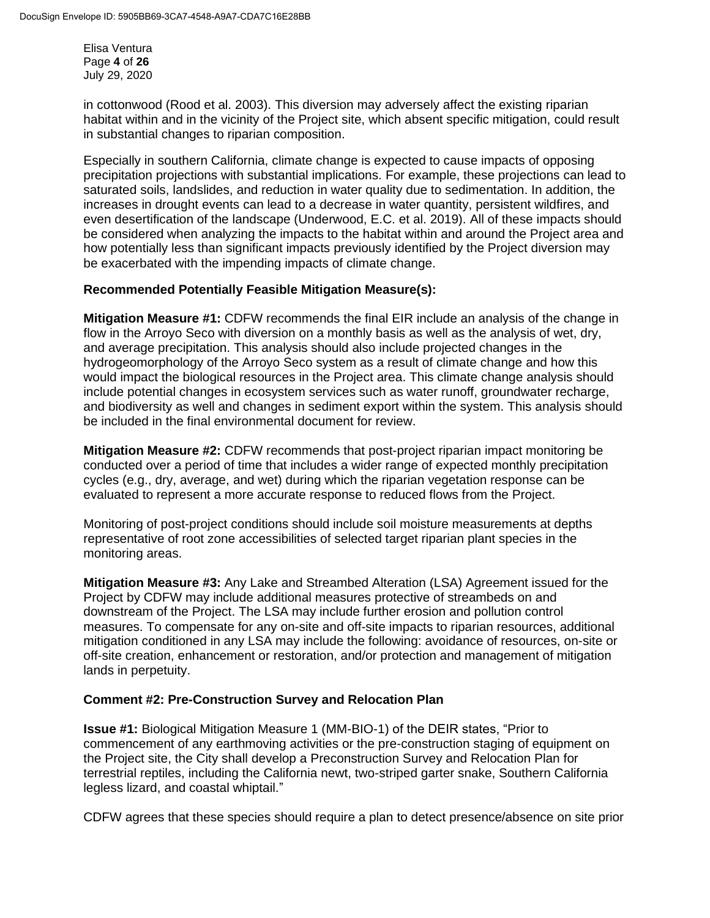Elisa Ventura Page **4** of **26** July 29, 2020

in cottonwood (Rood et al. 2003). This diversion may adversely affect the existing riparian habitat within and in the vicinity of the Project site, which absent specific mitigation, could result in substantial changes to riparian composition.

Especially in southern California, climate change is expected to cause impacts of opposing precipitation projections with substantial implications. For example, these projections can lead to saturated soils, landslides, and reduction in water quality due to sedimentation. In addition, the increases in drought events can lead to a decrease in water quantity, persistent wildfires, and even desertification of the landscape (Underwood, E.C. et al. 2019). All of these impacts should be considered when analyzing the impacts to the habitat within and around the Project area and how potentially less than significant impacts previously identified by the Project diversion may be exacerbated with the impending impacts of climate change.

### **Recommended Potentially Feasible Mitigation Measure(s):**

**Mitigation Measure #1:** CDFW recommends the final EIR include an analysis of the change in flow in the Arroyo Seco with diversion on a monthly basis as well as the analysis of wet, dry, and average precipitation. This analysis should also include projected changes in the hydrogeomorphology of the Arroyo Seco system as a result of climate change and how this would impact the biological resources in the Project area. This climate change analysis should include potential changes in ecosystem services such as water runoff, groundwater recharge, and biodiversity as well and changes in sediment export within the system. This analysis should be included in the final environmental document for review.

**Mitigation Measure #2:** CDFW recommends that post-project riparian impact monitoring be conducted over a period of time that includes a wider range of expected monthly precipitation cycles (e.g., dry, average, and wet) during which the riparian vegetation response can be evaluated to represent a more accurate response to reduced flows from the Project.

Monitoring of post-project conditions should include soil moisture measurements at depths representative of root zone accessibilities of selected target riparian plant species in the monitoring areas.

**Mitigation Measure #3:** Any Lake and Streambed Alteration (LSA) Agreement issued for the Project by CDFW may include additional measures protective of streambeds on and downstream of the Project. The LSA may include further erosion and pollution control measures. To compensate for any on-site and off-site impacts to riparian resources, additional mitigation conditioned in any LSA may include the following: avoidance of resources, on-site or off-site creation, enhancement or restoration, and/or protection and management of mitigation lands in perpetuity.

# **Comment #2: Pre-Construction Survey and Relocation Plan**

**Issue #1:** Biological Mitigation Measure 1 (MM-BIO-1) of the DEIR states, "Prior to commencement of any earthmoving activities or the pre-construction staging of equipment on the Project site, the City shall develop a Preconstruction Survey and Relocation Plan for terrestrial reptiles, including the California newt, two-striped garter snake, Southern California legless lizard, and coastal whiptail."

CDFW agrees that these species should require a plan to detect presence/absence on site prior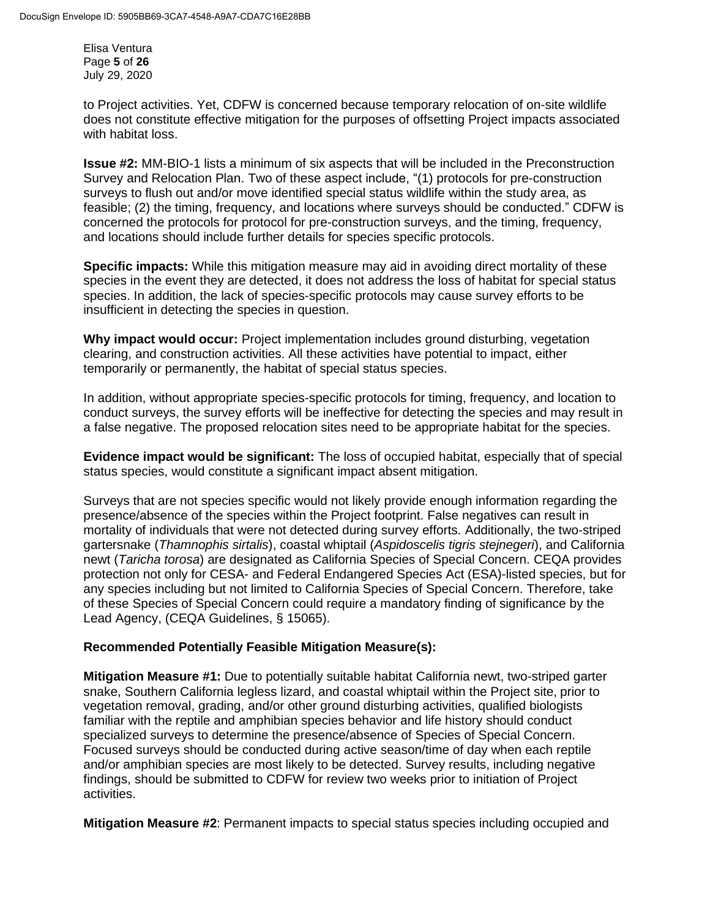Elisa Ventura Page **5** of **26** July 29, 2020

to Project activities. Yet, CDFW is concerned because temporary relocation of on-site wildlife does not constitute effective mitigation for the purposes of offsetting Project impacts associated with habitat loss.

**Issue #2:** MM-BIO-1 lists a minimum of six aspects that will be included in the Preconstruction Survey and Relocation Plan. Two of these aspect include, "(1) protocols for pre-construction surveys to flush out and/or move identified special status wildlife within the study area, as feasible; (2) the timing, frequency, and locations where surveys should be conducted." CDFW is concerned the protocols for protocol for pre-construction surveys, and the timing, frequency, and locations should include further details for species specific protocols.

**Specific impacts:** While this mitigation measure may aid in avoiding direct mortality of these species in the event they are detected, it does not address the loss of habitat for special status species. In addition, the lack of species-specific protocols may cause survey efforts to be insufficient in detecting the species in question.

**Why impact would occur:** Project implementation includes ground disturbing, vegetation clearing, and construction activities. All these activities have potential to impact, either temporarily or permanently, the habitat of special status species.

In addition, without appropriate species-specific protocols for timing, frequency, and location to conduct surveys, the survey efforts will be ineffective for detecting the species and may result in a false negative. The proposed relocation sites need to be appropriate habitat for the species.

**Evidence impact would be significant:** The loss of occupied habitat, especially that of special status species, would constitute a significant impact absent mitigation.

Surveys that are not species specific would not likely provide enough information regarding the presence/absence of the species within the Project footprint. False negatives can result in mortality of individuals that were not detected during survey efforts. Additionally, the two-striped gartersnake (*Thamnophis sirtalis*), coastal whiptail (*Aspidoscelis tigris stejnegeri*), and California newt (*Taricha torosa*) are designated as California Species of Special Concern. CEQA provides protection not only for CESA- and Federal Endangered Species Act (ESA)-listed species, but for any species including but not limited to California Species of Special Concern. Therefore, take of these Species of Special Concern could require a mandatory finding of significance by the Lead Agency, (CEQA Guidelines, § 15065).

# **Recommended Potentially Feasible Mitigation Measure(s):**

**Mitigation Measure #1:** Due to potentially suitable habitat California newt, two-striped garter snake, Southern California legless lizard, and coastal whiptail within the Project site, prior to vegetation removal, grading, and/or other ground disturbing activities, qualified biologists familiar with the reptile and amphibian species behavior and life history should conduct specialized surveys to determine the presence/absence of Species of Special Concern. Focused surveys should be conducted during active season/time of day when each reptile and/or amphibian species are most likely to be detected. Survey results, including negative findings, should be submitted to CDFW for review two weeks prior to initiation of Project activities.

**Mitigation Measure #2**: Permanent impacts to special status species including occupied and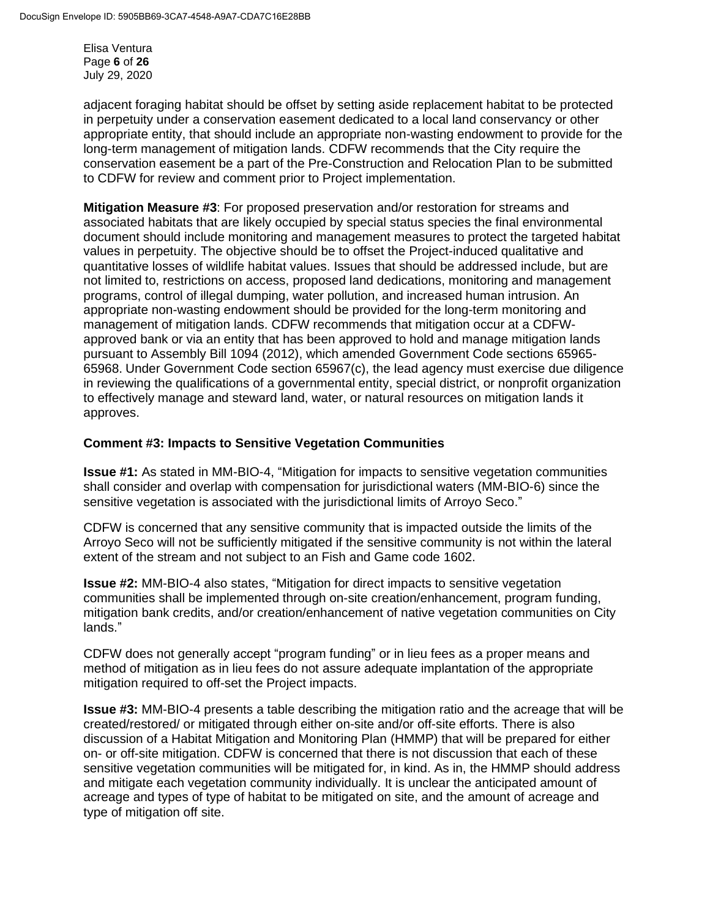Elisa Ventura Page **6** of **26** July 29, 2020

adjacent foraging habitat should be offset by setting aside replacement habitat to be protected in perpetuity under a conservation easement dedicated to a local land conservancy or other appropriate entity, that should include an appropriate non-wasting endowment to provide for the long-term management of mitigation lands. CDFW recommends that the City require the conservation easement be a part of the Pre-Construction and Relocation Plan to be submitted to CDFW for review and comment prior to Project implementation.

**Mitigation Measure #3**: For proposed preservation and/or restoration for streams and associated habitats that are likely occupied by special status species the final environmental document should include monitoring and management measures to protect the targeted habitat values in perpetuity. The objective should be to offset the Project-induced qualitative and quantitative losses of wildlife habitat values. Issues that should be addressed include, but are not limited to, restrictions on access, proposed land dedications, monitoring and management programs, control of illegal dumping, water pollution, and increased human intrusion. An appropriate non-wasting endowment should be provided for the long-term monitoring and management of mitigation lands. CDFW recommends that mitigation occur at a CDFWapproved bank or via an entity that has been approved to hold and manage mitigation lands pursuant to Assembly Bill 1094 (2012), which amended [Government Code sections 65965-](http://www.leginfo.ca.gov/cgi-bin/displaycode?section=gov&group=65001-66000&file=65965-65968) [65968.](http://www.leginfo.ca.gov/cgi-bin/displaycode?section=gov&group=65001-66000&file=65965-65968) Under Government Code section 65967(c), the lead agency must exercise due diligence in reviewing the qualifications of a governmental entity, special district, or nonprofit organization to effectively manage and steward land, water, or natural resources on mitigation lands it approves.

# **Comment #3: Impacts to Sensitive Vegetation Communities**

**Issue #1:** As stated in MM-BIO-4, "Mitigation for impacts to sensitive vegetation communities shall consider and overlap with compensation for jurisdictional waters (MM-BIO-6) since the sensitive vegetation is associated with the jurisdictional limits of Arroyo Seco."

CDFW is concerned that any sensitive community that is impacted outside the limits of the Arroyo Seco will not be sufficiently mitigated if the sensitive community is not within the lateral extent of the stream and not subject to an Fish and Game code 1602.

**Issue #2:** MM-BIO-4 also states, "Mitigation for direct impacts to sensitive vegetation communities shall be implemented through on-site creation/enhancement, program funding, mitigation bank credits, and/or creation/enhancement of native vegetation communities on City lands."

CDFW does not generally accept "program funding" or in lieu fees as a proper means and method of mitigation as in lieu fees do not assure adequate implantation of the appropriate mitigation required to off-set the Project impacts.

**Issue #3:** MM-BIO-4 presents a table describing the mitigation ratio and the acreage that will be created/restored/ or mitigated through either on-site and/or off-site efforts. There is also discussion of a Habitat Mitigation and Monitoring Plan (HMMP) that will be prepared for either on- or off-site mitigation. CDFW is concerned that there is not discussion that each of these sensitive vegetation communities will be mitigated for, in kind. As in, the HMMP should address and mitigate each vegetation community individually. It is unclear the anticipated amount of acreage and types of type of habitat to be mitigated on site, and the amount of acreage and type of mitigation off site.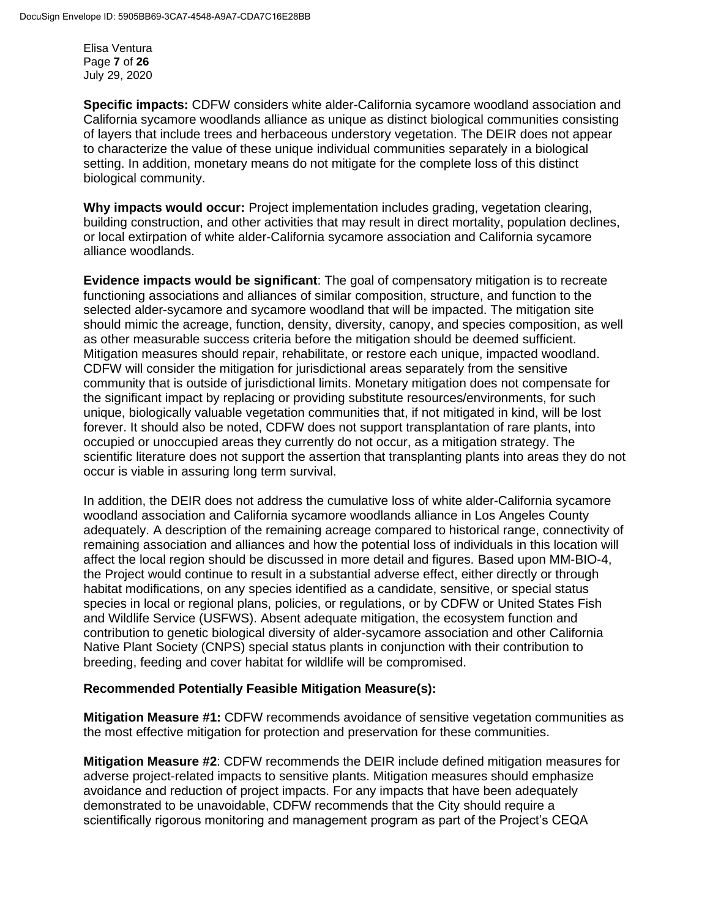Elisa Ventura Page **7** of **26** July 29, 2020

**Specific impacts:** CDFW considers white alder-California sycamore woodland association and California sycamore woodlands alliance as unique as distinct biological communities consisting of layers that include trees and herbaceous understory vegetation. The DEIR does not appear to characterize the value of these unique individual communities separately in a biological setting. In addition, monetary means do not mitigate for the complete loss of this distinct biological community.

**Why impacts would occur:** Project implementation includes grading, vegetation clearing, building construction, and other activities that may result in direct mortality, population declines, or local extirpation of white alder-California sycamore association and California sycamore alliance woodlands.

**Evidence impacts would be significant**: The goal of compensatory mitigation is to recreate functioning associations and alliances of similar composition, structure, and function to the selected alder-sycamore and sycamore woodland that will be impacted. The mitigation site should mimic the acreage, function, density, diversity, canopy, and species composition, as well as other measurable success criteria before the mitigation should be deemed sufficient. Mitigation measures should repair, rehabilitate, or restore each unique, impacted woodland. CDFW will consider the mitigation for jurisdictional areas separately from the sensitive community that is outside of jurisdictional limits. Monetary mitigation does not compensate for the significant impact by replacing or providing substitute resources/environments, for such unique, biologically valuable vegetation communities that, if not mitigated in kind, will be lost forever. It should also be noted, CDFW does not support transplantation of rare plants, into occupied or unoccupied areas they currently do not occur, as a mitigation strategy. The scientific literature does not support the assertion that transplanting plants into areas they do not occur is viable in assuring long term survival.

In addition, the DEIR does not address the cumulative loss of white alder-California sycamore woodland association and California sycamore woodlands alliance in Los Angeles County adequately. A description of the remaining acreage compared to historical range, connectivity of remaining association and alliances and how the potential loss of individuals in this location will affect the local region should be discussed in more detail and figures. Based upon MM-BIO-4, the Project would continue to result in a substantial adverse effect, either directly or through habitat modifications, on any species identified as a candidate, sensitive, or special status species in local or regional plans, policies, or regulations, or by CDFW or United States Fish and Wildlife Service (USFWS). Absent adequate mitigation, the ecosystem function and contribution to genetic biological diversity of alder-sycamore association and other California Native Plant Society (CNPS) special status plants in conjunction with their contribution to breeding, feeding and cover habitat for wildlife will be compromised.

#### **Recommended Potentially Feasible Mitigation Measure(s):**

**Mitigation Measure #1:** CDFW recommends avoidance of sensitive vegetation communities as the most effective mitigation for protection and preservation for these communities.

**Mitigation Measure #2**: CDFW recommends the DEIR include defined mitigation measures for adverse project-related impacts to sensitive plants. Mitigation measures should emphasize avoidance and reduction of project impacts. For any impacts that have been adequately demonstrated to be unavoidable, CDFW recommends that the City should require a scientifically rigorous monitoring and management program as part of the Project's CEQA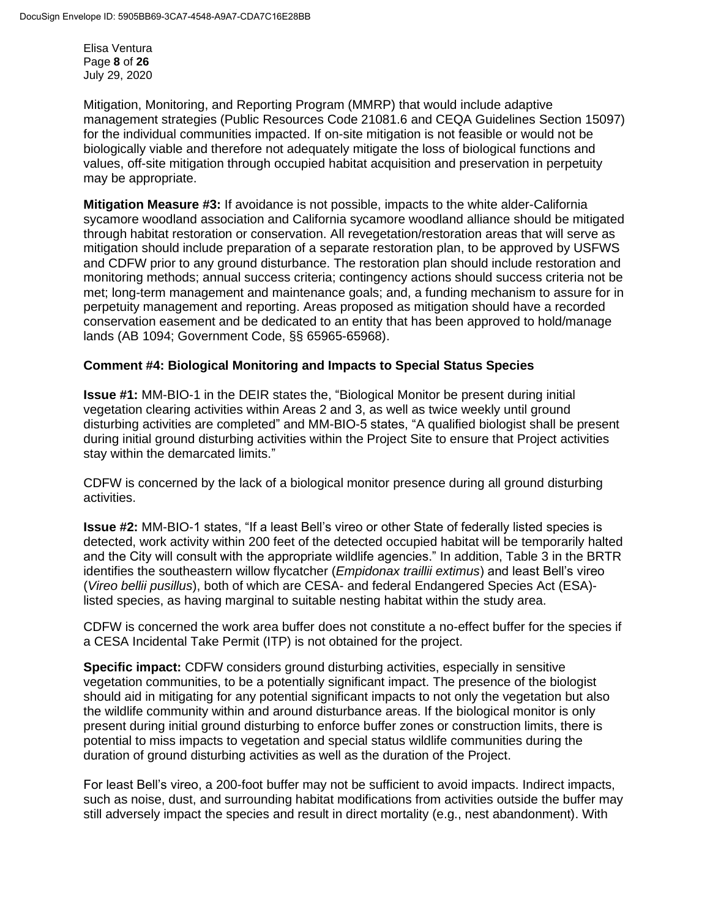Elisa Ventura Page **8** of **26** July 29, 2020

Mitigation, Monitoring, and Reporting Program (MMRP) that would include adaptive management strategies (Public Resources Code 21081.6 and CEQA Guidelines Section 15097) for the individual communities impacted. If on-site mitigation is not feasible or would not be biologically viable and therefore not adequately mitigate the loss of biological functions and values, off-site mitigation through occupied habitat acquisition and preservation in perpetuity may be appropriate.

**Mitigation Measure #3:** If avoidance is not possible, impacts to the white alder-California sycamore woodland association and California sycamore woodland alliance should be mitigated through habitat restoration or conservation. All revegetation/restoration areas that will serve as mitigation should include preparation of a separate restoration plan, to be approved by USFWS and CDFW prior to any ground disturbance. The restoration plan should include restoration and monitoring methods; annual success criteria; contingency actions should success criteria not be met; long-term management and maintenance goals; and, a funding mechanism to assure for in perpetuity management and reporting. Areas proposed as mitigation should have a recorded conservation easement and be dedicated to an entity that has been approved to hold/manage lands (AB 1094; [Government Code, §§](http://www.leginfo.ca.gov/cgi-bin/displaycode?section=gov&group=65001-66000&file=65965-65968) 65965-65968).

# **Comment #4: Biological Monitoring and Impacts to Special Status Species**

**Issue #1:** MM-BIO-1 in the DEIR states the, "Biological Monitor be present during initial vegetation clearing activities within Areas 2 and 3, as well as twice weekly until ground disturbing activities are completed" and MM-BIO-5 states, "A qualified biologist shall be present during initial ground disturbing activities within the Project Site to ensure that Project activities stay within the demarcated limits."

CDFW is concerned by the lack of a biological monitor presence during all ground disturbing activities.

**Issue #2:** MM-BIO-1 states, "If a least Bell's vireo or other State of federally listed species is detected, work activity within 200 feet of the detected occupied habitat will be temporarily halted and the City will consult with the appropriate wildlife agencies." In addition, Table 3 in the BRTR identifies the southeastern willow flycatcher (*Empidonax traillii extimus*) and least Bell's vireo (*Vireo bellii pusillus*), both of which are CESA- and federal Endangered Species Act (ESA) listed species, as having marginal to suitable nesting habitat within the study area.

CDFW is concerned the work area buffer does not constitute a no-effect buffer for the species if a CESA Incidental Take Permit (ITP) is not obtained for the project.

**Specific impact:** CDFW considers ground disturbing activities, especially in sensitive vegetation communities, to be a potentially significant impact. The presence of the biologist should aid in mitigating for any potential significant impacts to not only the vegetation but also the wildlife community within and around disturbance areas. If the biological monitor is only present during initial ground disturbing to enforce buffer zones or construction limits, there is potential to miss impacts to vegetation and special status wildlife communities during the duration of ground disturbing activities as well as the duration of the Project.

For least Bell's vireo, a 200-foot buffer may not be sufficient to avoid impacts. Indirect impacts, such as noise, dust, and surrounding habitat modifications from activities outside the buffer may still adversely impact the species and result in direct mortality (e.g., nest abandonment). With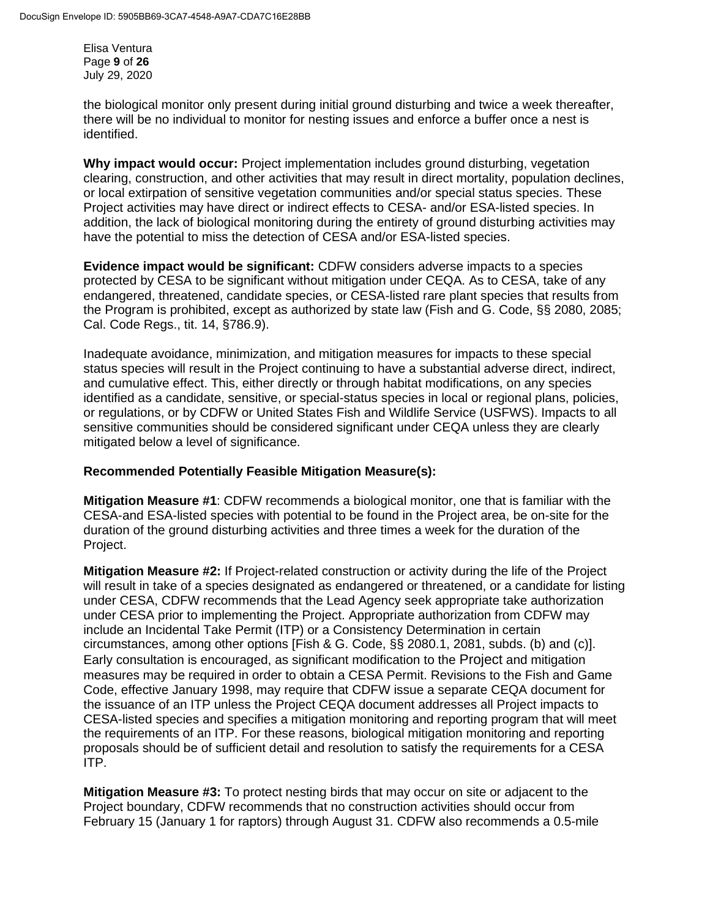Elisa Ventura Page **9** of **26** July 29, 2020

the biological monitor only present during initial ground disturbing and twice a week thereafter, there will be no individual to monitor for nesting issues and enforce a buffer once a nest is identified.

**Why impact would occur:** Project implementation includes ground disturbing, vegetation clearing, construction, and other activities that may result in direct mortality, population declines, or local extirpation of sensitive vegetation communities and/or special status species. These Project activities may have direct or indirect effects to CESA- and/or ESA-listed species. In addition, the lack of biological monitoring during the entirety of ground disturbing activities may have the potential to miss the detection of CESA and/or ESA-listed species.

**Evidence impact would be significant:** CDFW considers adverse impacts to a species protected by CESA to be significant without mitigation under CEQA. As to CESA, take of any endangered, threatened, candidate species, or CESA-listed rare plant species that results from the Program is prohibited, except as authorized by state law (Fish and G. Code, §§ 2080, 2085; Cal. Code Regs., tit. 14, §786.9).

Inadequate avoidance, minimization, and mitigation measures for impacts to these special status species will result in the Project continuing to have a substantial adverse direct, indirect, and cumulative effect. This, either directly or through habitat modifications, on any species identified as a candidate, sensitive, or special-status species in local or regional plans, policies, or regulations, or by CDFW or United States Fish and Wildlife Service (USFWS). Impacts to all sensitive communities should be considered significant under CEQA unless they are clearly mitigated below a level of significance.

# **Recommended Potentially Feasible Mitigation Measure(s):**

**Mitigation Measure #1**: CDFW recommends a biological monitor, one that is familiar with the CESA-and ESA-listed species with potential to be found in the Project area, be on-site for the duration of the ground disturbing activities and three times a week for the duration of the Project.

**Mitigation Measure #2:** If Project-related construction or activity during the life of the Project will result in take of a species designated as endangered or threatened, or a candidate for listing under CESA, CDFW recommends that the Lead Agency seek appropriate take authorization under CESA prior to implementing the Project. Appropriate authorization from CDFW may include an Incidental Take Permit (ITP) or a Consistency Determination in certain circumstances, among other options [Fish & G. Code, §§ 2080.1, 2081, subds. (b) and (c)]. Early consultation is encouraged, as significant modification to the Project and mitigation measures may be required in order to obtain a CESA Permit. Revisions to the Fish and Game Code, effective January 1998, may require that CDFW issue a separate CEQA document for the issuance of an ITP unless the Project CEQA document addresses all Project impacts to CESA-listed species and specifies a mitigation monitoring and reporting program that will meet the requirements of an ITP. For these reasons, biological mitigation monitoring and reporting proposals should be of sufficient detail and resolution to satisfy the requirements for a CESA ITP.

**Mitigation Measure #3:** To protect nesting birds that may occur on site or adjacent to the Project boundary, CDFW recommends that no construction activities should occur from February 15 (January 1 for raptors) through August 31. CDFW also recommends a 0.5-mile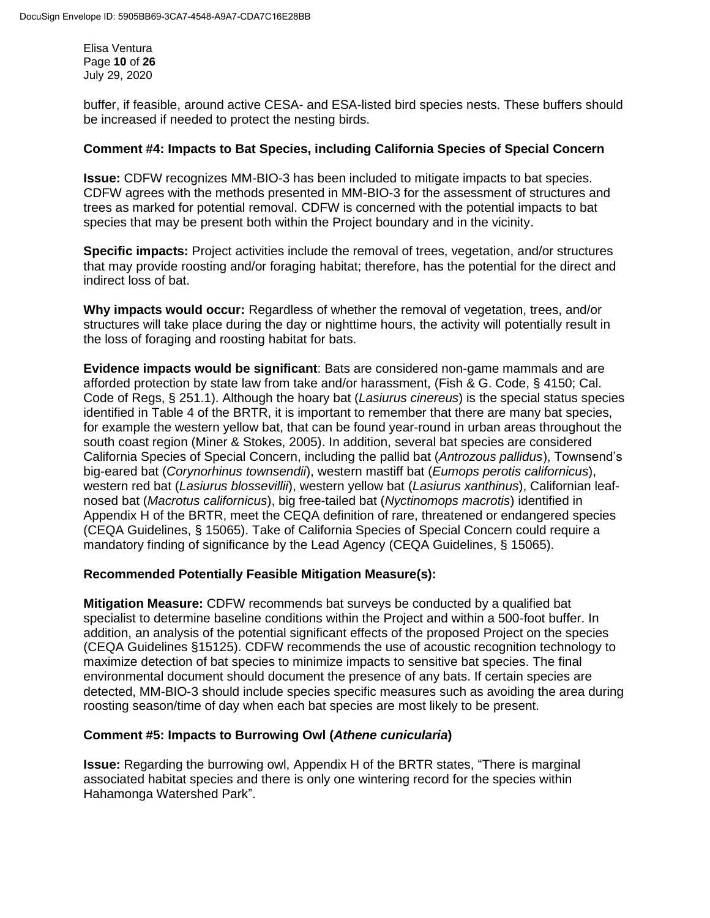Elisa Ventura Page **10** of **26** July 29, 2020

buffer, if feasible, around active CESA- and ESA-listed bird species nests. These buffers should be increased if needed to protect the nesting birds.

### **Comment #4: Impacts to Bat Species, including California Species of Special Concern**

**Issue:** CDFW recognizes MM-BIO-3 has been included to mitigate impacts to bat species. CDFW agrees with the methods presented in MM-BIO-3 for the assessment of structures and trees as marked for potential removal. CDFW is concerned with the potential impacts to bat species that may be present both within the Project boundary and in the vicinity.

**Specific impacts:** Project activities include the removal of trees, vegetation, and/or structures that may provide roosting and/or foraging habitat; therefore, has the potential for the direct and indirect loss of bat.

**Why impacts would occur:** Regardless of whether the removal of vegetation, trees, and/or structures will take place during the day or nighttime hours, the activity will potentially result in the loss of foraging and roosting habitat for bats.

**Evidence impacts would be significant**: Bats are considered non-game mammals and are afforded protection by state law from take and/or harassment, (Fish & G. Code, § 4150; Cal. Code of Regs, § 251.1). Although the hoary bat (*Lasiurus cinereus*) is the special status species identified in Table 4 of the BRTR, it is important to remember that there are many bat species, for example the western yellow bat, that can be found year-round in urban areas throughout the south coast region (Miner & Stokes, 2005). In addition, several bat species are considered California Species of Special Concern, including the pallid bat (*Antrozous pallidus*), Townsend's big-eared bat (*Corynorhinus townsendii*), western mastiff bat (*Eumops perotis californicus*), western red bat (*Lasiurus blossevillii*), western yellow bat (*Lasiurus xanthinus*), Californian leafnosed bat (*Macrotus californicus*), big free-tailed bat (*Nyctinomops macrotis*) identified in Appendix H of the BRTR, meet the CEQA definition of rare, threatened or endangered species (CEQA Guidelines, § 15065). Take of California Species of Special Concern could require a mandatory finding of significance by the Lead Agency (CEQA Guidelines, § 15065).

# **Recommended Potentially Feasible Mitigation Measure(s):**

**Mitigation Measure:** CDFW recommends bat surveys be conducted by a qualified bat specialist to determine baseline conditions within the Project and within a 500-foot buffer. In addition, an analysis of the potential significant effects of the proposed Project on the species (CEQA Guidelines §15125). CDFW recommends the use of acoustic recognition technology to maximize detection of bat species to minimize impacts to sensitive bat species. The final environmental document should document the presence of any bats. If certain species are detected, MM-BIO-3 should include species specific measures such as avoiding the area during roosting season/time of day when each bat species are most likely to be present.

#### **Comment #5: Impacts to Burrowing Owl (***Athene cunicularia***)**

**Issue:** Regarding the burrowing owl, Appendix H of the BRTR states, "There is marginal associated habitat species and there is only one wintering record for the species within Hahamonga Watershed Park".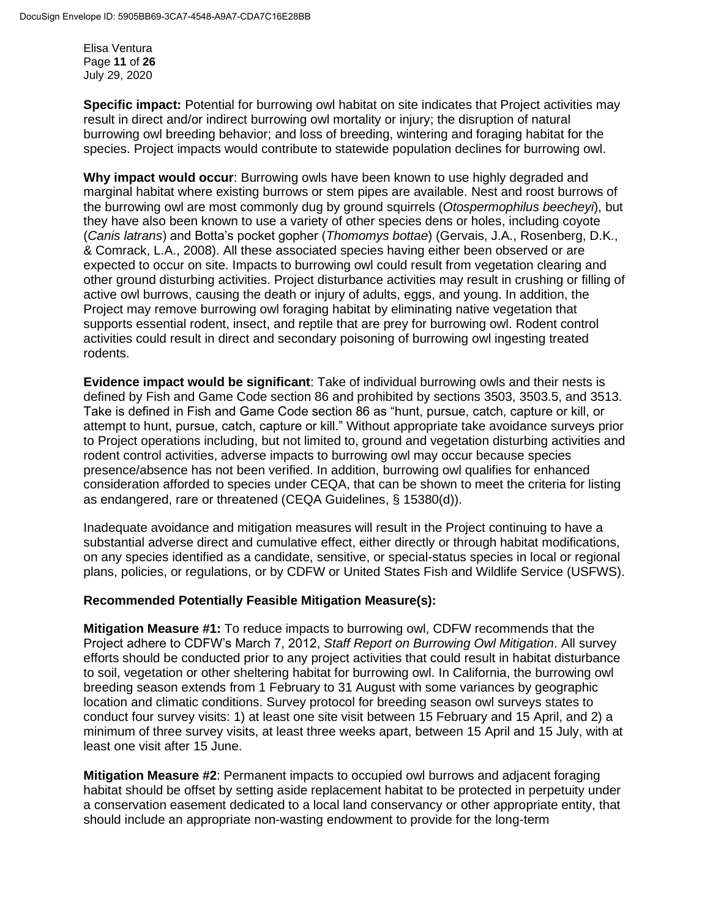Elisa Ventura Page **11** of **26** July 29, 2020

**Specific impact:** Potential for burrowing owl habitat on site indicates that Project activities may result in direct and/or indirect burrowing owl mortality or injury; the disruption of natural burrowing owl breeding behavior; and loss of breeding, wintering and foraging habitat for the species. Project impacts would contribute to statewide population declines for burrowing owl.

**Why impact would occur**: Burrowing owls have been known to use highly degraded and marginal habitat where existing burrows or stem pipes are available. Nest and roost burrows of the burrowing owl are most commonly dug by ground squirrels (*Otospermophilus beecheyi*), but they have also been known to use a variety of other species dens or holes, including coyote (*Canis latrans*) and Botta's pocket gopher (*Thomomys bottae*) (Gervais, J.A., Rosenberg, D.K., & Comrack, L.A., 2008). All these associated species having either been observed or are expected to occur on site. Impacts to burrowing owl could result from vegetation clearing and other ground disturbing activities. Project disturbance activities may result in crushing or filling of active owl burrows, causing the death or injury of adults, eggs, and young. In addition, the Project may remove burrowing owl foraging habitat by eliminating native vegetation that supports essential rodent, insect, and reptile that are prey for burrowing owl. Rodent control activities could result in direct and secondary poisoning of burrowing owl ingesting treated rodents.

**Evidence impact would be significant**: Take of individual burrowing owls and their nests is defined by Fish and Game Code section 86 and prohibited by sections 3503, 3503.5, and 3513. Take is defined in Fish and Game Code section 86 as "hunt, pursue, catch, capture or kill, or attempt to hunt, pursue, catch, capture or kill." Without appropriate take avoidance surveys prior to Project operations including, but not limited to, ground and vegetation disturbing activities and rodent control activities, adverse impacts to burrowing owl may occur because species presence/absence has not been verified. In addition, burrowing owl qualifies for enhanced consideration afforded to species under CEQA, that can be shown to meet the criteria for listing as endangered, rare or threatened (CEQA Guidelines, § 15380(d)).

Inadequate avoidance and mitigation measures will result in the Project continuing to have a substantial adverse direct and cumulative effect, either directly or through habitat modifications, on any species identified as a candidate, sensitive, or special-status species in local or regional plans, policies, or regulations, or by CDFW or United States Fish and Wildlife Service (USFWS).

# **Recommended Potentially Feasible Mitigation Measure(s):**

**Mitigation Measure #1:** To reduce impacts to burrowing owl, CDFW recommends that the Project adhere to CDFW's March 7, 2012, *Staff Report on Burrowing Owl Mitigation*. All survey efforts should be conducted prior to any project activities that could result in habitat disturbance to soil, vegetation or other sheltering habitat for burrowing owl. In California, the burrowing owl breeding season extends from 1 February to 31 August with some variances by geographic location and climatic conditions. Survey protocol for breeding season owl surveys states to conduct four survey visits: 1) at least one site visit between 15 February and 15 April, and 2) a minimum of three survey visits, at least three weeks apart, between 15 April and 15 July, with at least one visit after 15 June.

**Mitigation Measure #2**: Permanent impacts to occupied owl burrows and adjacent foraging habitat should be offset by setting aside replacement habitat to be protected in perpetuity under a conservation easement dedicated to a local land conservancy or other appropriate entity, that should include an appropriate non-wasting endowment to provide for the long-term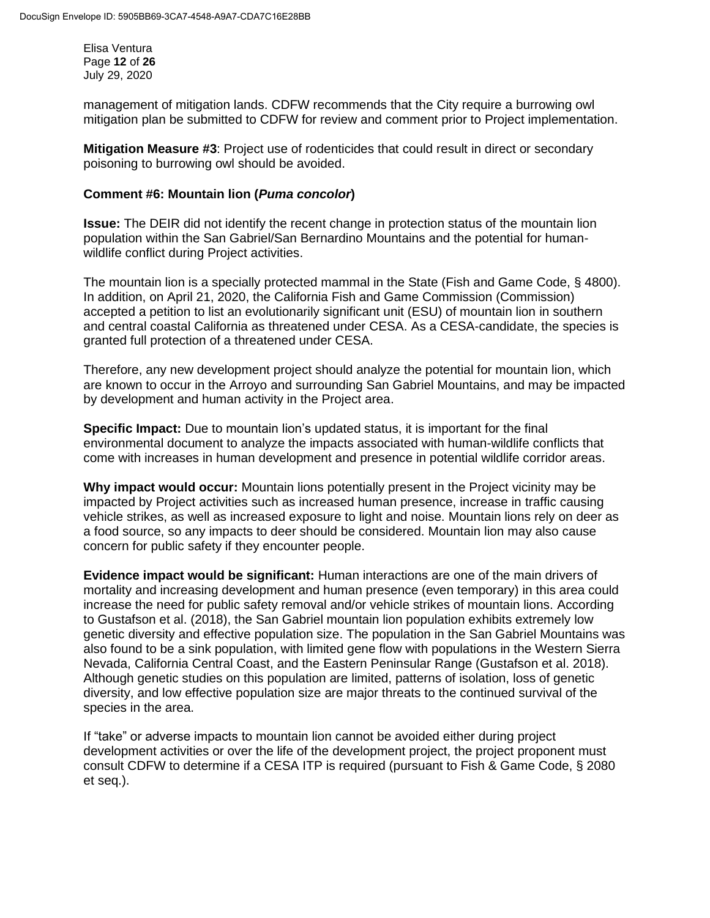Elisa Ventura Page **12** of **26** July 29, 2020

management of mitigation lands. CDFW recommends that the City require a burrowing owl mitigation plan be submitted to CDFW for review and comment prior to Project implementation.

**Mitigation Measure #3**: Project use of rodenticides that could result in direct or secondary poisoning to burrowing owl should be avoided.

### **Comment #6: Mountain lion (***Puma concolor***)**

**Issue:** The DEIR did not identify the recent change in protection status of the mountain lion population within the San Gabriel/San Bernardino Mountains and the potential for humanwildlife conflict during Project activities.

The mountain lion is a specially protected mammal in the State (Fish and Game Code, § 4800). In addition, on April 21, 2020, the California Fish and Game Commission (Commission) accepted a petition to list an evolutionarily significant unit (ESU) of mountain lion in southern and central coastal California as threatened under CESA. As a CESA-candidate, the species is granted full protection of a threatened under CESA.

Therefore, any new development project should analyze the potential for mountain lion, which are known to occur in the Arroyo and surrounding San Gabriel Mountains, and may be impacted by development and human activity in the Project area.

**Specific Impact:** Due to mountain lion's updated status, it is important for the final environmental document to analyze the impacts associated with human-wildlife conflicts that come with increases in human development and presence in potential wildlife corridor areas.

**Why impact would occur:** Mountain lions potentially present in the Project vicinity may be impacted by Project activities such as increased human presence, increase in traffic causing vehicle strikes, as well as increased exposure to light and noise. Mountain lions rely on deer as a food source, so any impacts to deer should be considered. Mountain lion may also cause concern for public safety if they encounter people.

**Evidence impact would be significant:** Human interactions are one of the main drivers of mortality and increasing development and human presence (even temporary) in this area could increase the need for public safety removal and/or vehicle strikes of mountain lions. According to Gustafson et al. (2018), the San Gabriel mountain lion population exhibits extremely low genetic diversity and effective population size. The population in the San Gabriel Mountains was also found to be a sink population, with limited gene flow with populations in the Western Sierra Nevada, California Central Coast, and the Eastern Peninsular Range (Gustafson et al. 2018). Although genetic studies on this population are limited, patterns of isolation, loss of genetic diversity, and low effective population size are major threats to the continued survival of the species in the area.

If "take" or adverse impacts to mountain lion cannot be avoided either during project development activities or over the life of the development project, the project proponent must consult CDFW to determine if a CESA ITP is required (pursuant to Fish & Game Code, § 2080 et seq.).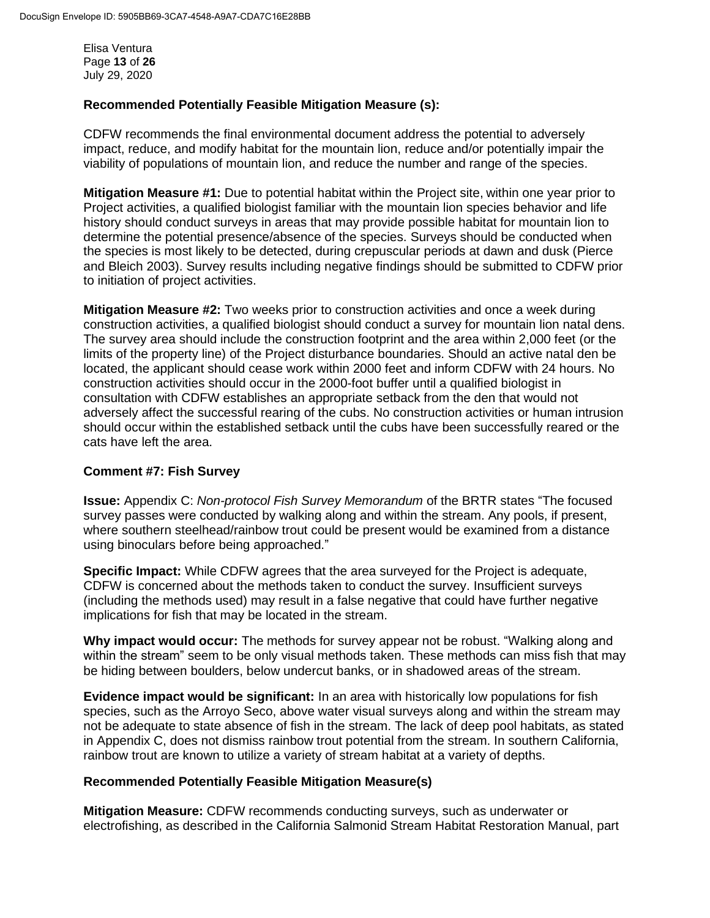Elisa Ventura Page **13** of **26** July 29, 2020

### **Recommended Potentially Feasible Mitigation Measure (s):**

CDFW recommends the final environmental document address the potential to adversely impact, reduce, and modify habitat for the mountain lion, reduce and/or potentially impair the viability of populations of mountain lion, and reduce the number and range of the species.

**Mitigation Measure #1:** Due to potential habitat within the Project site, within one year prior to Project activities, a qualified biologist familiar with the mountain lion species behavior and life history should conduct surveys in areas that may provide possible habitat for mountain lion to determine the potential presence/absence of the species. Surveys should be conducted when the species is most likely to be detected, during crepuscular periods at dawn and dusk (Pierce and Bleich 2003). Survey results including negative findings should be submitted to CDFW prior to initiation of project activities.

**Mitigation Measure #2:** Two weeks prior to construction activities and once a week during construction activities, a qualified biologist should conduct a survey for mountain lion natal dens. The survey area should include the construction footprint and the area within 2,000 feet (or the limits of the property line) of the Project disturbance boundaries. Should an active natal den be located, the applicant should cease work within 2000 feet and inform CDFW with 24 hours. No construction activities should occur in the 2000-foot buffer until a qualified biologist in consultation with CDFW establishes an appropriate setback from the den that would not adversely affect the successful rearing of the cubs. No construction activities or human intrusion should occur within the established setback until the cubs have been successfully reared or the cats have left the area.

# **Comment #7: Fish Survey**

**Issue:** Appendix C: *Non-protocol Fish Survey Memorandum* of the BRTR states "The focused survey passes were conducted by walking along and within the stream. Any pools, if present, where southern steelhead/rainbow trout could be present would be examined from a distance using binoculars before being approached."

**Specific Impact:** While CDFW agrees that the area surveyed for the Project is adequate, CDFW is concerned about the methods taken to conduct the survey. Insufficient surveys (including the methods used) may result in a false negative that could have further negative implications for fish that may be located in the stream.

**Why impact would occur:** The methods for survey appear not be robust. "Walking along and within the stream" seem to be only visual methods taken. These methods can miss fish that may be hiding between boulders, below undercut banks, or in shadowed areas of the stream.

**Evidence impact would be significant:** In an area with historically low populations for fish species, such as the Arroyo Seco, above water visual surveys along and within the stream may not be adequate to state absence of fish in the stream. The lack of deep pool habitats, as stated in Appendix C, does not dismiss rainbow trout potential from the stream. In southern California, rainbow trout are known to utilize a variety of stream habitat at a variety of depths.

#### **Recommended Potentially Feasible Mitigation Measure(s)**

**Mitigation Measure:** CDFW recommends conducting surveys, such as underwater or electrofishing, as described in the California Salmonid Stream Habitat Restoration Manual, part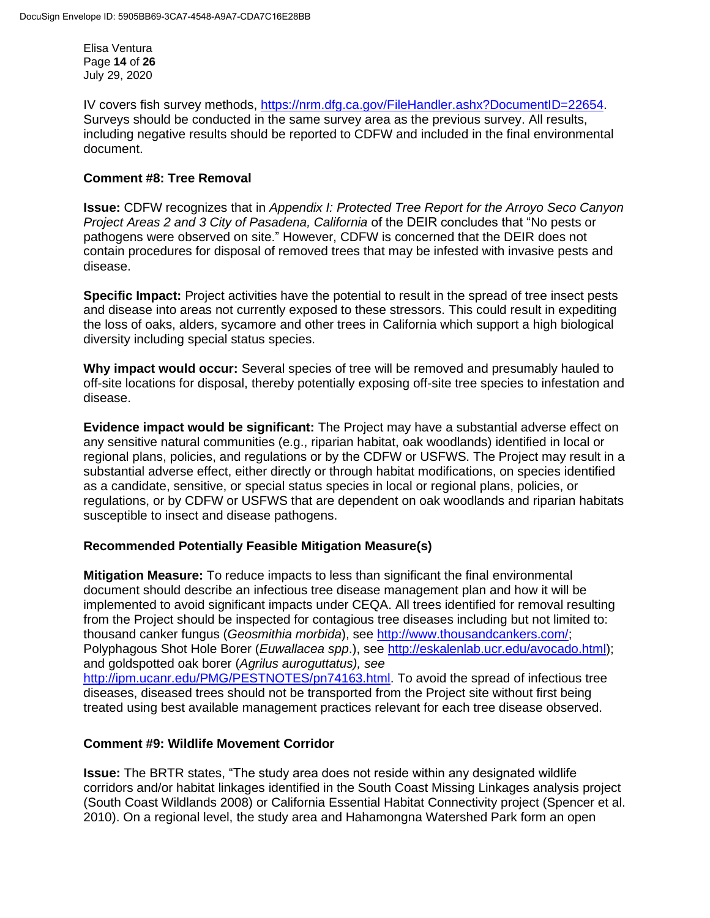Elisa Ventura Page **14** of **26** July 29, 2020

IV covers fish survey methods, [https://nrm.dfg.ca.gov/FileHandler.ashx?DocumentID=22654.](https://nrm.dfg.ca.gov/FileHandler.ashx?DocumentID=22654) Surveys should be conducted in the same survey area as the previous survey. All results, including negative results should be reported to CDFW and included in the final environmental document.

### **Comment #8: Tree Removal**

**Issue:** CDFW recognizes that in *Appendix I: Protected Tree Report for the Arroyo Seco Canyon Project Areas 2 and 3 City of Pasadena, California* of the DEIR concludes that "No pests or pathogens were observed on site." However, CDFW is concerned that the DEIR does not contain procedures for disposal of removed trees that may be infested with invasive pests and disease.

**Specific Impact:** Project activities have the potential to result in the spread of tree insect pests and disease into areas not currently exposed to these stressors. This could result in expediting the loss of oaks, alders, sycamore and other trees in California which support a high biological diversity including special status species.

**Why impact would occur:** Several species of tree will be removed and presumably hauled to off-site locations for disposal, thereby potentially exposing off-site tree species to infestation and disease.

**Evidence impact would be significant:** The Project may have a substantial adverse effect on any sensitive natural communities (e.g., riparian habitat, oak woodlands) identified in local or regional plans, policies, and regulations or by the CDFW or USFWS. The Project may result in a substantial adverse effect, either directly or through habitat modifications, on species identified as a candidate, sensitive, or special status species in local or regional plans, policies, or regulations, or by CDFW or USFWS that are dependent on oak woodlands and riparian habitats susceptible to insect and disease pathogens.

# **Recommended Potentially Feasible Mitigation Measure(s)**

**Mitigation Measure:** To reduce impacts to less than significant the final environmental document should describe an infectious tree disease management plan and how it will be implemented to avoid significant impacts under CEQA. All trees identified for removal resulting from the Project should be inspected for contagious tree diseases including but not limited to: thousand canker fungus (*Geosmithia morbida*), see [http://www.thousandcankers.com/;](http://www.thousandcankers.com/) Polyphagous Shot Hole Borer (*Euwallacea spp*.), see [http://eskalenlab.ucr.edu/avocado.html\)](http://eskalenlab.ucr.edu/avocado.html); and goldspotted oak borer (*Agrilus auroguttatus), see* 

[http://ipm.ucanr.edu/PMG/PESTNOTES/pn74163.html.](http://ipm.ucanr.edu/PMG/PESTNOTES/pn74163.html) To avoid the spread of infectious tree diseases, diseased trees should not be transported from the Project site without first being treated using best available management practices relevant for each tree disease observed.

# **Comment #9: Wildlife Movement Corridor**

**Issue:** The BRTR states, "The study area does not reside within any designated wildlife corridors and/or habitat linkages identified in the South Coast Missing Linkages analysis project (South Coast Wildlands 2008) or California Essential Habitat Connectivity project (Spencer et al. 2010). On a regional level, the study area and Hahamongna Watershed Park form an open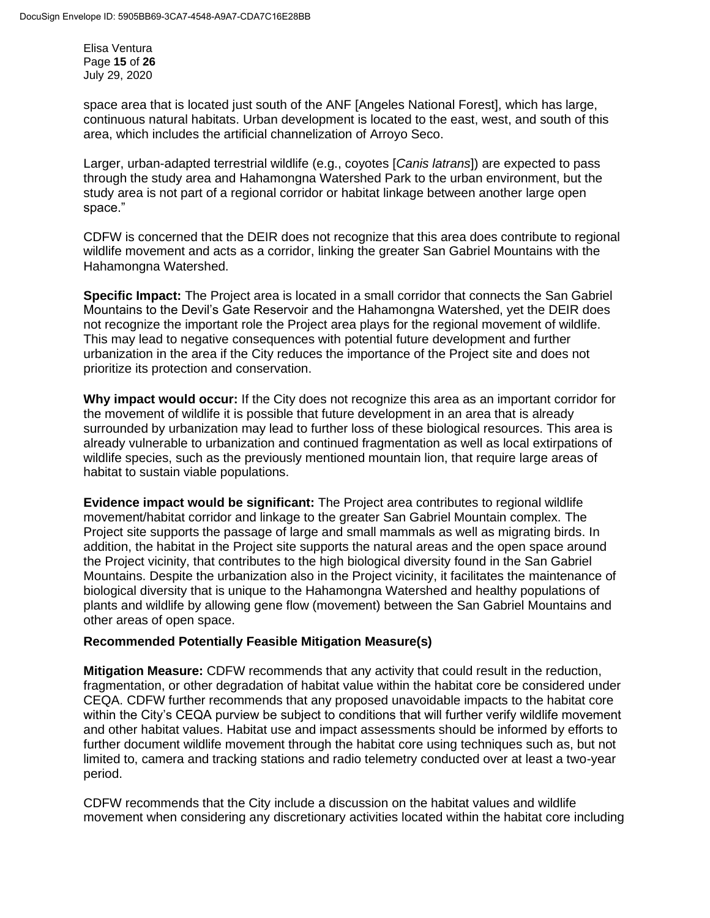Elisa Ventura Page **15** of **26** July 29, 2020

space area that is located just south of the ANF [Angeles National Forest], which has large, continuous natural habitats. Urban development is located to the east, west, and south of this area, which includes the artificial channelization of Arroyo Seco.

Larger, urban-adapted terrestrial wildlife (e.g., coyotes [*Canis latrans*]) are expected to pass through the study area and Hahamongna Watershed Park to the urban environment, but the study area is not part of a regional corridor or habitat linkage between another large open space."

CDFW is concerned that the DEIR does not recognize that this area does contribute to regional wildlife movement and acts as a corridor, linking the greater San Gabriel Mountains with the Hahamongna Watershed.

**Specific Impact:** The Project area is located in a small corridor that connects the San Gabriel Mountains to the Devil's Gate Reservoir and the Hahamongna Watershed, yet the DEIR does not recognize the important role the Project area plays for the regional movement of wildlife. This may lead to negative consequences with potential future development and further urbanization in the area if the City reduces the importance of the Project site and does not prioritize its protection and conservation.

**Why impact would occur:** If the City does not recognize this area as an important corridor for the movement of wildlife it is possible that future development in an area that is already surrounded by urbanization may lead to further loss of these biological resources. This area is already vulnerable to urbanization and continued fragmentation as well as local extirpations of wildlife species, such as the previously mentioned mountain lion, that require large areas of habitat to sustain viable populations.

**Evidence impact would be significant:** The Project area contributes to regional wildlife movement/habitat corridor and linkage to the greater San Gabriel Mountain complex. The Project site supports the passage of large and small mammals as well as migrating birds. In addition, the habitat in the Project site supports the natural areas and the open space around the Project vicinity, that contributes to the high biological diversity found in the San Gabriel Mountains. Despite the urbanization also in the Project vicinity, it facilitates the maintenance of biological diversity that is unique to the Hahamongna Watershed and healthy populations of plants and wildlife by allowing gene flow (movement) between the San Gabriel Mountains and other areas of open space.

# **Recommended Potentially Feasible Mitigation Measure(s)**

**Mitigation Measure:** CDFW recommends that any activity that could result in the reduction, fragmentation, or other degradation of habitat value within the habitat core be considered under CEQA. CDFW further recommends that any proposed unavoidable impacts to the habitat core within the City's CEQA purview be subject to conditions that will further verify wildlife movement and other habitat values. Habitat use and impact assessments should be informed by efforts to further document wildlife movement through the habitat core using techniques such as, but not limited to, camera and tracking stations and radio telemetry conducted over at least a two-year period.

CDFW recommends that the City include a discussion on the habitat values and wildlife movement when considering any discretionary activities located within the habitat core including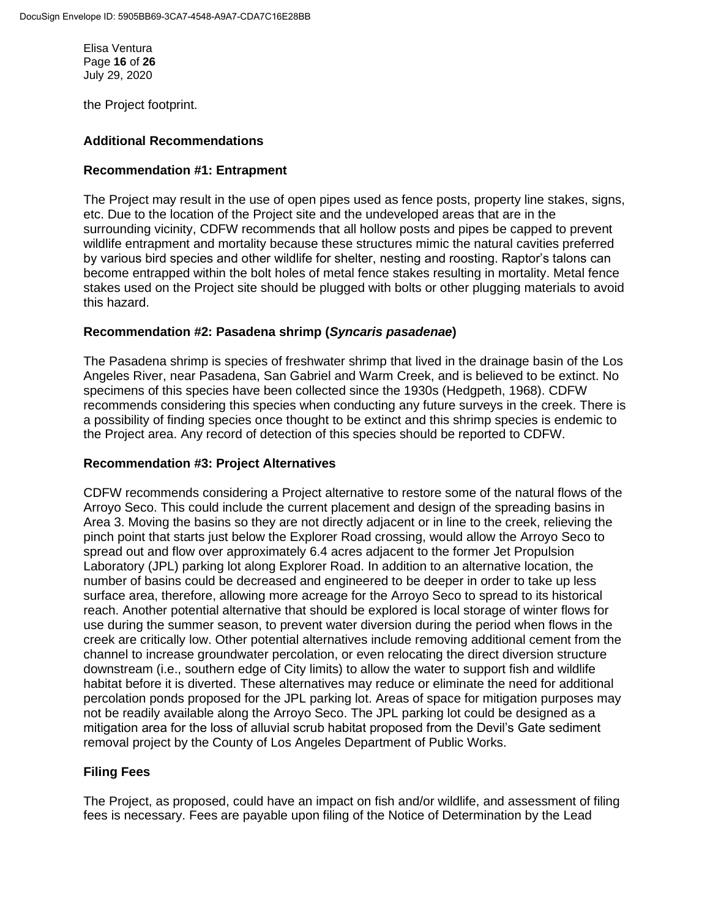Elisa Ventura Page **16** of **26** July 29, 2020

the Project footprint.

### **Additional Recommendations**

### **Recommendation #1: Entrapment**

The Project may result in the use of open pipes used as fence posts, property line stakes, signs, etc. Due to the location of the Project site and the undeveloped areas that are in the surrounding vicinity, CDFW recommends that all hollow posts and pipes be capped to prevent wildlife entrapment and mortality because these structures mimic the natural cavities preferred by various bird species and other wildlife for shelter, nesting and roosting. Raptor's talons can become entrapped within the bolt holes of metal fence stakes resulting in mortality. Metal fence stakes used on the Project site should be plugged with bolts or other plugging materials to avoid this hazard.

### **Recommendation #2: Pasadena shrimp (***Syncaris pasadenae***)**

The Pasadena shrimp is species of freshwater shrimp that lived in the drainage basin of the Los Angeles River, near Pasadena, San Gabriel and Warm Creek, and is believed to be extinct. No specimens of this species have been collected since the 1930s (Hedgpeth, 1968). CDFW recommends considering this species when conducting any future surveys in the creek. There is a possibility of finding species once thought to be extinct and this shrimp species is endemic to the Project area. Any record of detection of this species should be reported to CDFW.

### **Recommendation #3: Project Alternatives**

CDFW recommends considering a Project alternative to restore some of the natural flows of the Arroyo Seco. This could include the current placement and design of the spreading basins in Area 3. Moving the basins so they are not directly adjacent or in line to the creek, relieving the pinch point that starts just below the Explorer Road crossing, would allow the Arroyo Seco to spread out and flow over approximately 6.4 acres adjacent to the former Jet Propulsion Laboratory (JPL) parking lot along Explorer Road. In addition to an alternative location, the number of basins could be decreased and engineered to be deeper in order to take up less surface area, therefore, allowing more acreage for the Arroyo Seco to spread to its historical reach. Another potential alternative that should be explored is local storage of winter flows for use during the summer season, to prevent water diversion during the period when flows in the creek are critically low. Other potential alternatives include removing additional cement from the channel to increase groundwater percolation, or even relocating the direct diversion structure downstream (i.e., southern edge of City limits) to allow the water to support fish and wildlife habitat before it is diverted. These alternatives may reduce or eliminate the need for additional percolation ponds proposed for the JPL parking lot. Areas of space for mitigation purposes may not be readily available along the Arroyo Seco. The JPL parking lot could be designed as a mitigation area for the loss of alluvial scrub habitat proposed from the Devil's Gate sediment removal project by the County of Los Angeles Department of Public Works.

# **Filing Fees**

The Project, as proposed, could have an impact on fish and/or wildlife, and assessment of filing fees is necessary. Fees are payable upon filing of the Notice of Determination by the Lead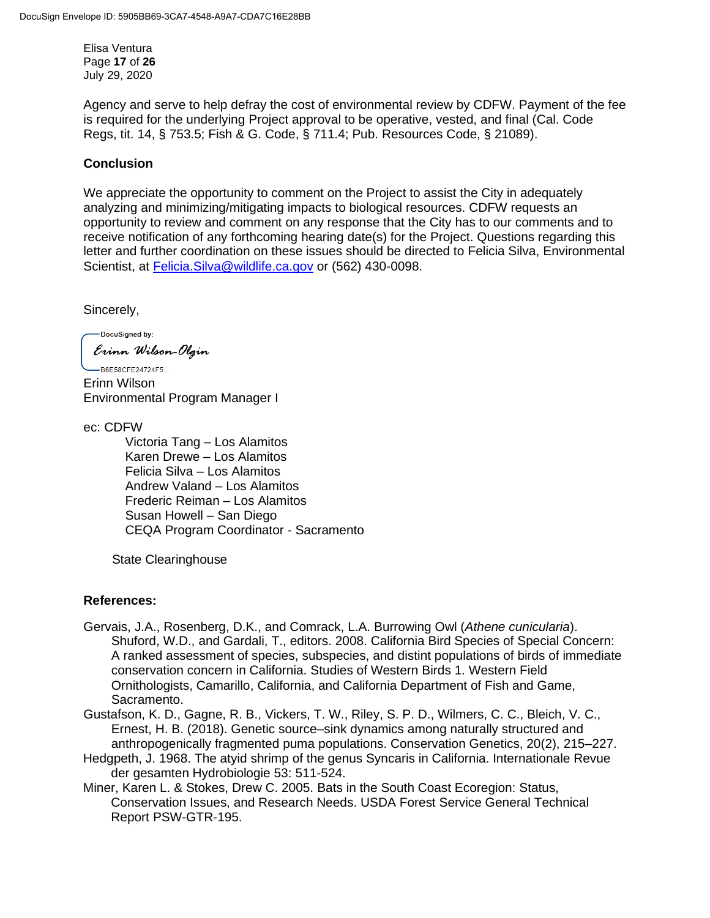Elisa Ventura Page **17** of **26** July 29, 2020

Agency and serve to help defray the cost of environmental review by CDFW. Payment of the fee is required for the underlying Project approval to be operative, vested, and final (Cal. Code Regs, tit. 14, § 753.5; Fish & G. Code, § 711.4; Pub. Resources Code, § 21089).

# **Conclusion**

We appreciate the opportunity to comment on the Project to assist the City in adequately analyzing and minimizing/mitigating impacts to biological resources. CDFW requests an opportunity to review and comment on any response that the City has to our comments and to receive notification of any forthcoming hearing date(s) for the Project. Questions regarding this letter and further coordination on these issues should be directed to Felicia Silva, Environmental Scientist, at [Felicia.Silva@wildlife.ca.gov](mailto:Felicia.Silva@wildlife.ca.gov) or (562) 430-0098.

Sincerely,

-DocuSigned by: Erinn Wilson-Olgin

-B6F58CFF24724F5 Erinn Wilson Environmental Program Manager I

ec: CDFW

Victoria Tang – Los Alamitos Karen Drewe – Los Alamitos Felicia Silva – Los Alamitos Andrew Valand – Los Alamitos Frederic Reiman – Los Alamitos Susan Howell – San Diego CEQA Program Coordinator - Sacramento

State Clearinghouse

# **References:**

- Gervais, J.A., Rosenberg, D.K., and Comrack, L.A. Burrowing Owl (*Athene cunicularia*). Shuford, W.D., and Gardali, T., editors. 2008. California Bird Species of Special Concern: A ranked assessment of species, subspecies, and distint populations of birds of immediate conservation concern in California. Studies of Western Birds 1. Western Field Ornithologists, Camarillo, California, and California Department of Fish and Game, Sacramento.
- Gustafson, K. D., Gagne, R. B., Vickers, T. W., Riley, S. P. D., Wilmers, C. C., Bleich, V. C., Ernest, H. B. (2018). Genetic source–sink dynamics among naturally structured and anthropogenically fragmented puma populations. Conservation Genetics, 20(2), 215–227.
- Hedgpeth, J. 1968. The atyid shrimp of the genus Syncaris in California. Internationale Revue der gesamten Hydrobiologie 53: 511-524.
- Miner, Karen L. & Stokes, Drew C. 2005. Bats in the South Coast Ecoregion: Status, Conservation Issues, and Research Needs. USDA Forest Service General Technical Report PSW-GTR-195.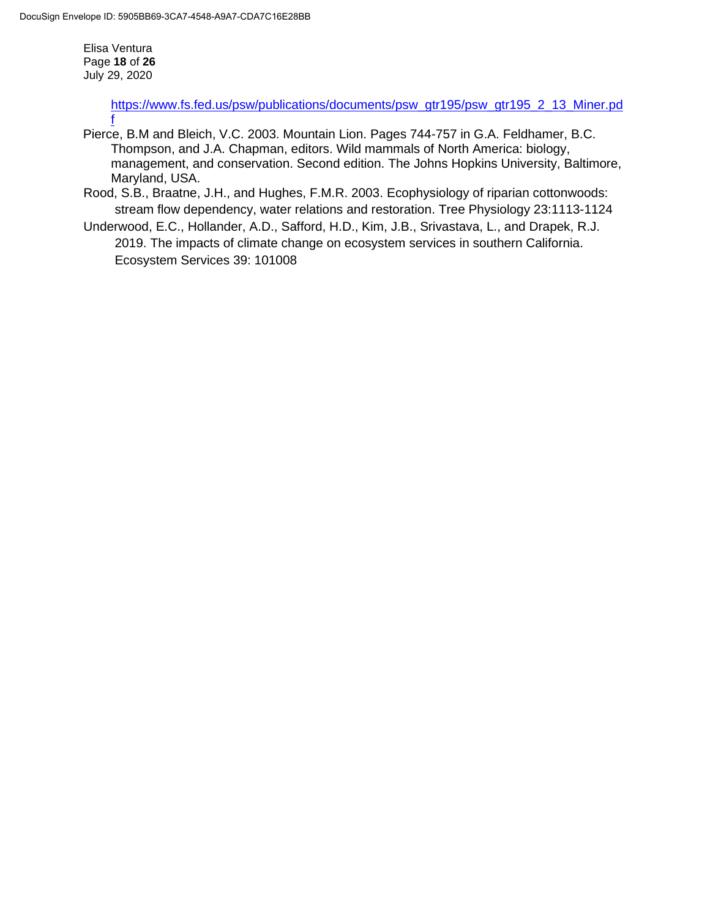Elisa Ventura Page **18** of **26** July 29, 2020

[f](https://www.fs.fed.us/psw/publications/documents/psw_gtr195/psw_gtr195_2_13_Miner.pdf)

[https://www.fs.fed.us/psw/publications/documents/psw\\_gtr195/psw\\_gtr195\\_2\\_13\\_Miner.pd](https://www.fs.fed.us/psw/publications/documents/psw_gtr195/psw_gtr195_2_13_Miner.pdf)

- Pierce, B.M and Bleich, V.C. 2003. Mountain Lion. Pages 744-757 in G.A. Feldhamer, B.C. Thompson, and J.A. Chapman, editors. Wild mammals of North America: biology, management, and conservation. Second edition. The Johns Hopkins University, Baltimore, Maryland, USA.
- Rood, S.B., Braatne, J.H., and Hughes, F.M.R. 2003. Ecophysiology of riparian cottonwoods: stream flow dependency, water relations and restoration. Tree Physiology 23:1113-1124
- Underwood, E.C., Hollander, A.D., Safford, H.D., Kim, J.B., Srivastava, L., and Drapek, R.J. 2019. The impacts of climate change on ecosystem services in southern California. Ecosystem Services 39: 101008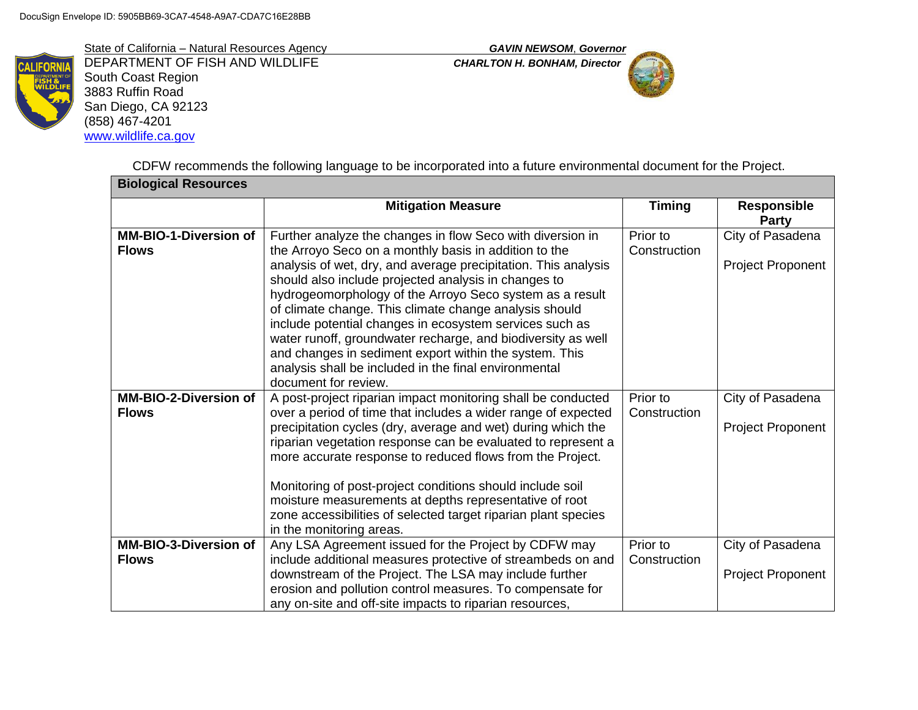State of California – Natural Resources Agency *GAVIN NEWSOM*, *Governor*



DEPARTMENT OF FISH AND WILDLIFE *CHARLTON H. BONHAM, Director* South Coast Region 3883 Ruffin Road San Diego, CA 92123 (858) 467-4201 [www.wildlife.ca.gov](http://www.wildlife.ca.gov/)



CDFW recommends the following language to be incorporated into a future environmental document for the Project.

| <b>Biological Resources</b>                  |                                                                                                                                                                                                                                                                                                                                                                                                                                                                                                                                                                                                                                           |                          |                                              |  |
|----------------------------------------------|-------------------------------------------------------------------------------------------------------------------------------------------------------------------------------------------------------------------------------------------------------------------------------------------------------------------------------------------------------------------------------------------------------------------------------------------------------------------------------------------------------------------------------------------------------------------------------------------------------------------------------------------|--------------------------|----------------------------------------------|--|
|                                              | <b>Mitigation Measure</b>                                                                                                                                                                                                                                                                                                                                                                                                                                                                                                                                                                                                                 | <b>Timing</b>            | <b>Responsible</b><br><b>Party</b>           |  |
| <b>MM-BIO-1-Diversion of</b><br><b>Flows</b> | Further analyze the changes in flow Seco with diversion in<br>the Arroyo Seco on a monthly basis in addition to the<br>analysis of wet, dry, and average precipitation. This analysis<br>should also include projected analysis in changes to<br>hydrogeomorphology of the Arroyo Seco system as a result<br>of climate change. This climate change analysis should<br>include potential changes in ecosystem services such as<br>water runoff, groundwater recharge, and biodiversity as well<br>and changes in sediment export within the system. This<br>analysis shall be included in the final environmental<br>document for review. | Prior to<br>Construction | City of Pasadena<br>Project Proponent        |  |
| <b>MM-BIO-2-Diversion of</b><br><b>Flows</b> | A post-project riparian impact monitoring shall be conducted<br>over a period of time that includes a wider range of expected<br>precipitation cycles (dry, average and wet) during which the<br>riparian vegetation response can be evaluated to represent a<br>more accurate response to reduced flows from the Project.<br>Monitoring of post-project conditions should include soil<br>moisture measurements at depths representative of root<br>zone accessibilities of selected target riparian plant species<br>in the monitoring areas.                                                                                           | Prior to<br>Construction | City of Pasadena<br><b>Project Proponent</b> |  |
| MM-BIO-3-Diversion of<br><b>Flows</b>        | Any LSA Agreement issued for the Project by CDFW may<br>include additional measures protective of streambeds on and<br>downstream of the Project. The LSA may include further<br>erosion and pollution control measures. To compensate for<br>any on-site and off-site impacts to riparian resources,                                                                                                                                                                                                                                                                                                                                     | Prior to<br>Construction | City of Pasadena<br><b>Project Proponent</b> |  |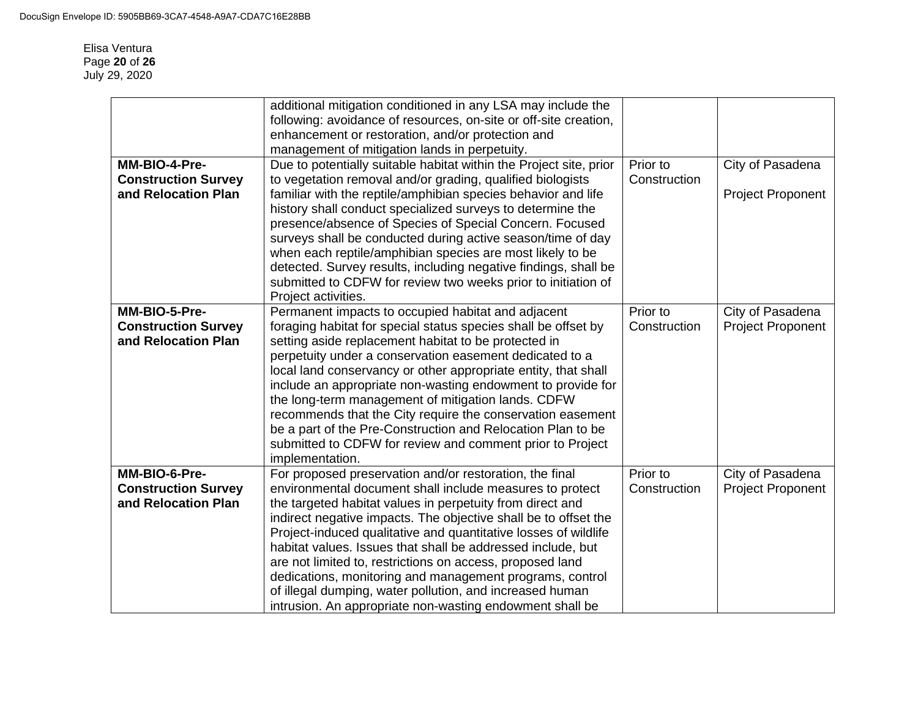Elisa Ventura Page **20** of **26** July 29, 2020

|                            | additional mitigation conditioned in any LSA may include the<br>following: avoidance of resources, on-site or off-site creation,<br>enhancement or restoration, and/or protection and |              |                          |
|----------------------------|---------------------------------------------------------------------------------------------------------------------------------------------------------------------------------------|--------------|--------------------------|
|                            | management of mitigation lands in perpetuity.                                                                                                                                         |              |                          |
| MM-BIO-4-Pre-              | Due to potentially suitable habitat within the Project site, prior                                                                                                                    | Prior to     | City of Pasadena         |
| <b>Construction Survey</b> | to vegetation removal and/or grading, qualified biologists                                                                                                                            | Construction |                          |
| and Relocation Plan        | familiar with the reptile/amphibian species behavior and life                                                                                                                         |              | <b>Project Proponent</b> |
|                            | history shall conduct specialized surveys to determine the                                                                                                                            |              |                          |
|                            | presence/absence of Species of Special Concern. Focused                                                                                                                               |              |                          |
|                            | surveys shall be conducted during active season/time of day                                                                                                                           |              |                          |
|                            | when each reptile/amphibian species are most likely to be                                                                                                                             |              |                          |
|                            | detected. Survey results, including negative findings, shall be                                                                                                                       |              |                          |
|                            | submitted to CDFW for review two weeks prior to initiation of<br>Project activities.                                                                                                  |              |                          |
| MM-BIO-5-Pre-              | Permanent impacts to occupied habitat and adjacent                                                                                                                                    | Prior to     | City of Pasadena         |
| <b>Construction Survey</b> | foraging habitat for special status species shall be offset by                                                                                                                        | Construction | <b>Project Proponent</b> |
| and Relocation Plan        | setting aside replacement habitat to be protected in                                                                                                                                  |              |                          |
|                            | perpetuity under a conservation easement dedicated to a                                                                                                                               |              |                          |
|                            | local land conservancy or other appropriate entity, that shall                                                                                                                        |              |                          |
|                            | include an appropriate non-wasting endowment to provide for                                                                                                                           |              |                          |
|                            | the long-term management of mitigation lands. CDFW                                                                                                                                    |              |                          |
|                            | recommends that the City require the conservation easement                                                                                                                            |              |                          |
|                            | be a part of the Pre-Construction and Relocation Plan to be                                                                                                                           |              |                          |
|                            | submitted to CDFW for review and comment prior to Project                                                                                                                             |              |                          |
|                            | implementation.                                                                                                                                                                       |              |                          |
| MM-BIO-6-Pre-              | For proposed preservation and/or restoration, the final                                                                                                                               | Prior to     | City of Pasadena         |
| <b>Construction Survey</b> | environmental document shall include measures to protect                                                                                                                              | Construction | <b>Project Proponent</b> |
| and Relocation Plan        | the targeted habitat values in perpetuity from direct and                                                                                                                             |              |                          |
|                            | indirect negative impacts. The objective shall be to offset the                                                                                                                       |              |                          |
|                            | Project-induced qualitative and quantitative losses of wildlife                                                                                                                       |              |                          |
|                            | habitat values. Issues that shall be addressed include, but                                                                                                                           |              |                          |
|                            | are not limited to, restrictions on access, proposed land                                                                                                                             |              |                          |
|                            | dedications, monitoring and management programs, control                                                                                                                              |              |                          |
|                            | of illegal dumping, water pollution, and increased human                                                                                                                              |              |                          |
|                            | intrusion. An appropriate non-wasting endowment shall be                                                                                                                              |              |                          |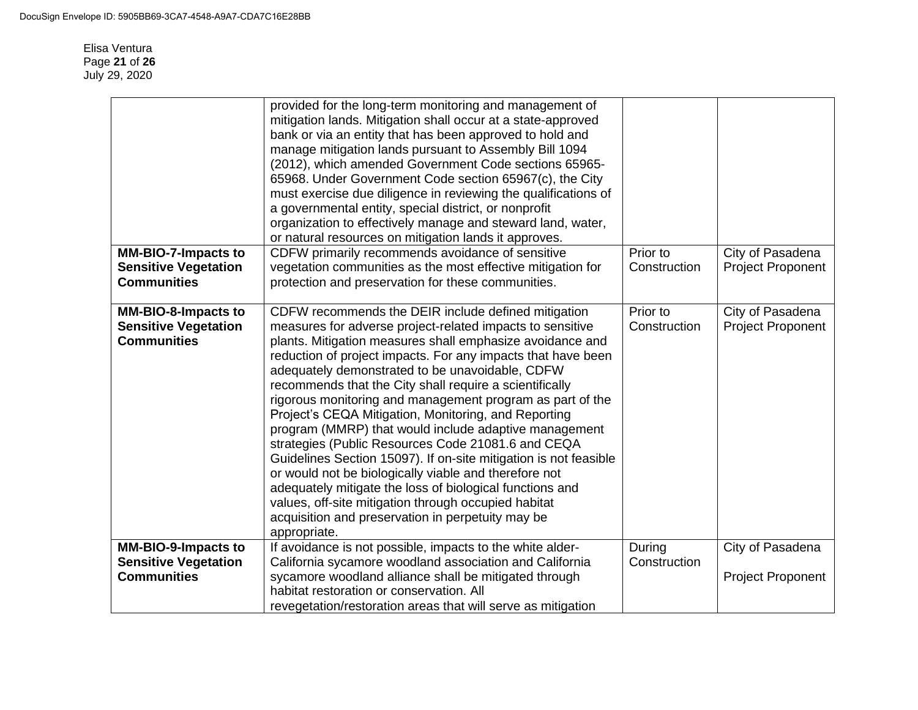Elisa Ventura Page **21** of **26** July 29, 2020

|                                                                                 | provided for the long-term monitoring and management of<br>mitigation lands. Mitigation shall occur at a state-approved<br>bank or via an entity that has been approved to hold and<br>manage mitigation lands pursuant to Assembly Bill 1094<br>(2012), which amended Government Code sections 65965-<br>65968. Under Government Code section 65967(c), the City<br>must exercise due diligence in reviewing the qualifications of<br>a governmental entity, special district, or nonprofit<br>organization to effectively manage and steward land, water,<br>or natural resources on mitigation lands it approves.                                                                                                                                                                                                                                                                                                  |                          |                                              |
|---------------------------------------------------------------------------------|-----------------------------------------------------------------------------------------------------------------------------------------------------------------------------------------------------------------------------------------------------------------------------------------------------------------------------------------------------------------------------------------------------------------------------------------------------------------------------------------------------------------------------------------------------------------------------------------------------------------------------------------------------------------------------------------------------------------------------------------------------------------------------------------------------------------------------------------------------------------------------------------------------------------------|--------------------------|----------------------------------------------|
| <b>MM-BIO-7-Impacts to</b><br><b>Sensitive Vegetation</b>                       | CDFW primarily recommends avoidance of sensitive<br>vegetation communities as the most effective mitigation for                                                                                                                                                                                                                                                                                                                                                                                                                                                                                                                                                                                                                                                                                                                                                                                                       | Prior to<br>Construction | City of Pasadena<br><b>Project Proponent</b> |
| <b>Communities</b>                                                              | protection and preservation for these communities.                                                                                                                                                                                                                                                                                                                                                                                                                                                                                                                                                                                                                                                                                                                                                                                                                                                                    |                          |                                              |
| <b>MM-BIO-8-Impacts to</b><br><b>Sensitive Vegetation</b><br><b>Communities</b> | CDFW recommends the DEIR include defined mitigation<br>measures for adverse project-related impacts to sensitive<br>plants. Mitigation measures shall emphasize avoidance and<br>reduction of project impacts. For any impacts that have been<br>adequately demonstrated to be unavoidable, CDFW<br>recommends that the City shall require a scientifically<br>rigorous monitoring and management program as part of the<br>Project's CEQA Mitigation, Monitoring, and Reporting<br>program (MMRP) that would include adaptive management<br>strategies (Public Resources Code 21081.6 and CEQA<br>Guidelines Section 15097). If on-site mitigation is not feasible<br>or would not be biologically viable and therefore not<br>adequately mitigate the loss of biological functions and<br>values, off-site mitigation through occupied habitat<br>acquisition and preservation in perpetuity may be<br>appropriate. | Prior to<br>Construction | City of Pasadena<br><b>Project Proponent</b> |
| <b>MM-BIO-9-Impacts to</b><br><b>Sensitive Vegetation</b>                       | If avoidance is not possible, impacts to the white alder-<br>California sycamore woodland association and California                                                                                                                                                                                                                                                                                                                                                                                                                                                                                                                                                                                                                                                                                                                                                                                                  | During<br>Construction   | City of Pasadena                             |
| <b>Communities</b>                                                              | sycamore woodland alliance shall be mitigated through<br>habitat restoration or conservation. All<br>revegetation/restoration areas that will serve as mitigation                                                                                                                                                                                                                                                                                                                                                                                                                                                                                                                                                                                                                                                                                                                                                     |                          | <b>Project Proponent</b>                     |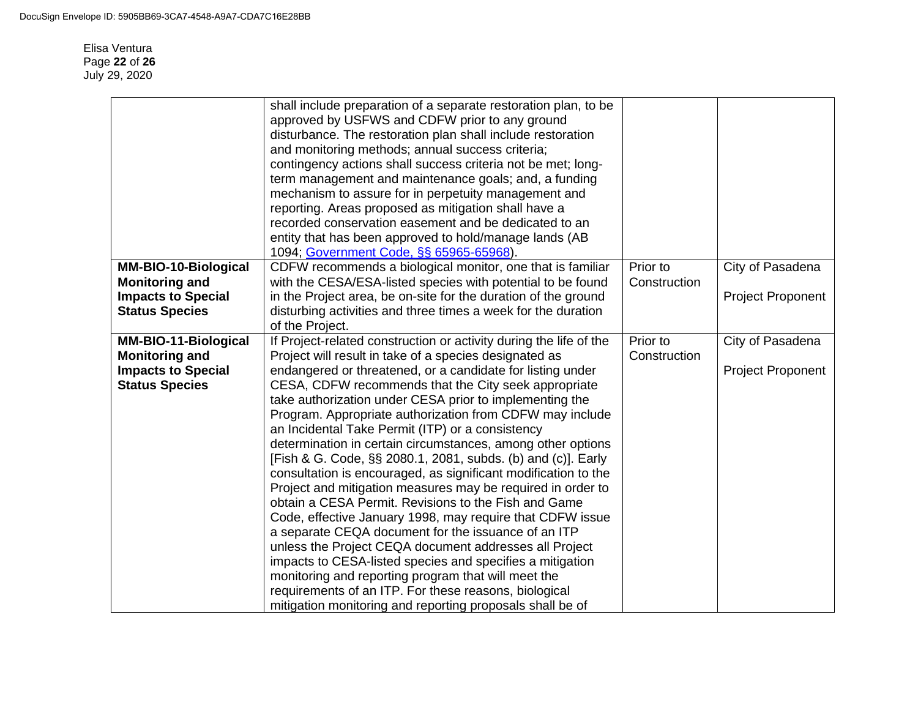Elisa Ventura Page **22** of **26** July 29, 2020

|                             | shall include preparation of a separate restoration plan, to be    |              |                          |
|-----------------------------|--------------------------------------------------------------------|--------------|--------------------------|
|                             | approved by USFWS and CDFW prior to any ground                     |              |                          |
|                             | disturbance. The restoration plan shall include restoration        |              |                          |
|                             | and monitoring methods; annual success criteria;                   |              |                          |
|                             | contingency actions shall success criteria not be met; long-       |              |                          |
|                             | term management and maintenance goals; and, a funding              |              |                          |
|                             | mechanism to assure for in perpetuity management and               |              |                          |
|                             | reporting. Areas proposed as mitigation shall have a               |              |                          |
|                             | recorded conservation easement and be dedicated to an              |              |                          |
|                             | entity that has been approved to hold/manage lands (AB             |              |                          |
|                             | 1094; Government Code, §§ 65965-65968).                            |              |                          |
| <b>MM-BIO-10-Biological</b> | CDFW recommends a biological monitor, one that is familiar         | Prior to     | City of Pasadena         |
| <b>Monitoring and</b>       | with the CESA/ESA-listed species with potential to be found        | Construction |                          |
| <b>Impacts to Special</b>   | in the Project area, be on-site for the duration of the ground     |              | <b>Project Proponent</b> |
| <b>Status Species</b>       | disturbing activities and three times a week for the duration      |              |                          |
|                             | of the Project.                                                    |              |                          |
| <b>MM-BIO-11-Biological</b> | If Project-related construction or activity during the life of the | Prior to     | City of Pasadena         |
| <b>Monitoring and</b>       | Project will result in take of a species designated as             | Construction |                          |
| <b>Impacts to Special</b>   | endangered or threatened, or a candidate for listing under         |              | Project Proponent        |
| <b>Status Species</b>       | CESA, CDFW recommends that the City seek appropriate               |              |                          |
|                             | take authorization under CESA prior to implementing the            |              |                          |
|                             | Program. Appropriate authorization from CDFW may include           |              |                          |
|                             | an Incidental Take Permit (ITP) or a consistency                   |              |                          |
|                             |                                                                    |              |                          |
|                             | determination in certain circumstances, among other options        |              |                          |
|                             | [Fish & G. Code, §§ 2080.1, 2081, subds. (b) and (c)]. Early       |              |                          |
|                             | consultation is encouraged, as significant modification to the     |              |                          |
|                             | Project and mitigation measures may be required in order to        |              |                          |
|                             | obtain a CESA Permit. Revisions to the Fish and Game               |              |                          |
|                             | Code, effective January 1998, may require that CDFW issue          |              |                          |
|                             | a separate CEQA document for the issuance of an ITP                |              |                          |
|                             | unless the Project CEQA document addresses all Project             |              |                          |
|                             | impacts to CESA-listed species and specifies a mitigation          |              |                          |
|                             | monitoring and reporting program that will meet the                |              |                          |
|                             | requirements of an ITP. For these reasons, biological              |              |                          |
|                             | mitigation monitoring and reporting proposals shall be of          |              |                          |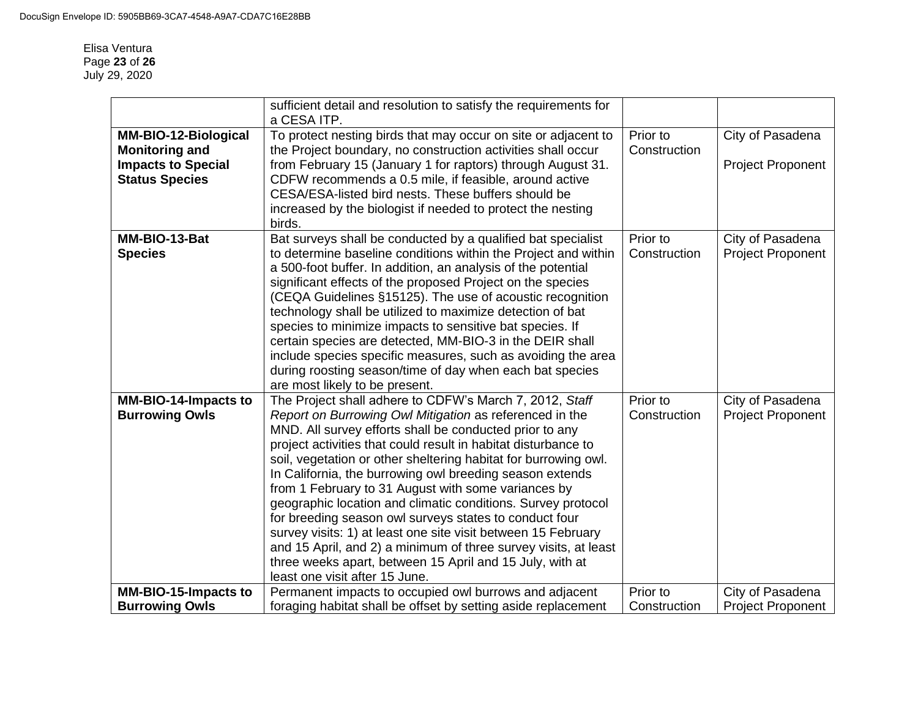#### Elisa Ventura Page **23** of **26** July 29, 2020

|                                                                                                            | sufficient detail and resolution to satisfy the requirements for<br>a CESA ITP.                                                                                                                                                                                                                                                                                                                                                                                                                                                                                                                                                                                                                                                                                                                   |                          |                                              |
|------------------------------------------------------------------------------------------------------------|---------------------------------------------------------------------------------------------------------------------------------------------------------------------------------------------------------------------------------------------------------------------------------------------------------------------------------------------------------------------------------------------------------------------------------------------------------------------------------------------------------------------------------------------------------------------------------------------------------------------------------------------------------------------------------------------------------------------------------------------------------------------------------------------------|--------------------------|----------------------------------------------|
| <b>MM-BIO-12-Biological</b><br><b>Monitoring and</b><br><b>Impacts to Special</b><br><b>Status Species</b> | To protect nesting birds that may occur on site or adjacent to<br>the Project boundary, no construction activities shall occur<br>from February 15 (January 1 for raptors) through August 31.<br>CDFW recommends a 0.5 mile, if feasible, around active<br>CESA/ESA-listed bird nests. These buffers should be<br>increased by the biologist if needed to protect the nesting<br>birds.                                                                                                                                                                                                                                                                                                                                                                                                           | Prior to<br>Construction | City of Pasadena<br><b>Project Proponent</b> |
| MM-BIO-13-Bat<br><b>Species</b>                                                                            | Bat surveys shall be conducted by a qualified bat specialist<br>to determine baseline conditions within the Project and within<br>a 500-foot buffer. In addition, an analysis of the potential<br>significant effects of the proposed Project on the species<br>(CEQA Guidelines §15125). The use of acoustic recognition<br>technology shall be utilized to maximize detection of bat<br>species to minimize impacts to sensitive bat species. If<br>certain species are detected, MM-BIO-3 in the DEIR shall<br>include species specific measures, such as avoiding the area<br>during roosting season/time of day when each bat species<br>are most likely to be present.                                                                                                                      | Prior to<br>Construction | City of Pasadena<br><b>Project Proponent</b> |
| <b>MM-BIO-14-Impacts to</b><br><b>Burrowing Owls</b>                                                       | The Project shall adhere to CDFW's March 7, 2012, Staff<br>Report on Burrowing Owl Mitigation as referenced in the<br>MND. All survey efforts shall be conducted prior to any<br>project activities that could result in habitat disturbance to<br>soil, vegetation or other sheltering habitat for burrowing owl.<br>In California, the burrowing owl breeding season extends<br>from 1 February to 31 August with some variances by<br>geographic location and climatic conditions. Survey protocol<br>for breeding season owl surveys states to conduct four<br>survey visits: 1) at least one site visit between 15 February<br>and 15 April, and 2) a minimum of three survey visits, at least<br>three weeks apart, between 15 April and 15 July, with at<br>least one visit after 15 June. | Prior to<br>Construction | City of Pasadena<br><b>Project Proponent</b> |
| <b>MM-BIO-15-Impacts to</b><br><b>Burrowing Owls</b>                                                       | Permanent impacts to occupied owl burrows and adjacent<br>foraging habitat shall be offset by setting aside replacement                                                                                                                                                                                                                                                                                                                                                                                                                                                                                                                                                                                                                                                                           | Prior to<br>Construction | City of Pasadena<br><b>Project Proponent</b> |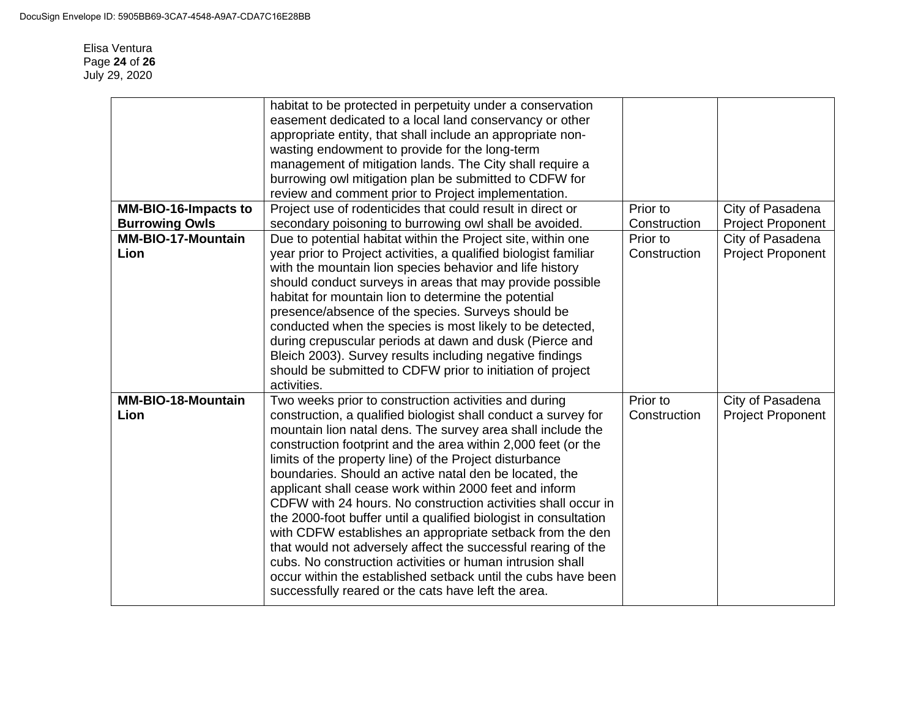Elisa Ventura Page **24** of **26** July 29, 2020

|                                   | habitat to be protected in perpetuity under a conservation<br>easement dedicated to a local land conservancy or other<br>appropriate entity, that shall include an appropriate non-<br>wasting endowment to provide for the long-term<br>management of mitigation lands. The City shall require a                                                                                                                                                                                                                                                                                                                                                                                                                                                                                                                                                                                              |                          |                                              |
|-----------------------------------|------------------------------------------------------------------------------------------------------------------------------------------------------------------------------------------------------------------------------------------------------------------------------------------------------------------------------------------------------------------------------------------------------------------------------------------------------------------------------------------------------------------------------------------------------------------------------------------------------------------------------------------------------------------------------------------------------------------------------------------------------------------------------------------------------------------------------------------------------------------------------------------------|--------------------------|----------------------------------------------|
|                                   | burrowing owl mitigation plan be submitted to CDFW for                                                                                                                                                                                                                                                                                                                                                                                                                                                                                                                                                                                                                                                                                                                                                                                                                                         |                          |                                              |
|                                   | review and comment prior to Project implementation.                                                                                                                                                                                                                                                                                                                                                                                                                                                                                                                                                                                                                                                                                                                                                                                                                                            |                          |                                              |
| <b>MM-BIO-16-Impacts to</b>       | Project use of rodenticides that could result in direct or                                                                                                                                                                                                                                                                                                                                                                                                                                                                                                                                                                                                                                                                                                                                                                                                                                     | Prior to                 | City of Pasadena                             |
| <b>Burrowing Owls</b>             | secondary poisoning to burrowing owl shall be avoided.                                                                                                                                                                                                                                                                                                                                                                                                                                                                                                                                                                                                                                                                                                                                                                                                                                         | Construction             | <b>Project Proponent</b>                     |
| <b>MM-BIO-17-Mountain</b><br>Lion | Due to potential habitat within the Project site, within one<br>year prior to Project activities, a qualified biologist familiar<br>with the mountain lion species behavior and life history<br>should conduct surveys in areas that may provide possible<br>habitat for mountain lion to determine the potential<br>presence/absence of the species. Surveys should be<br>conducted when the species is most likely to be detected,<br>during crepuscular periods at dawn and dusk (Pierce and<br>Bleich 2003). Survey results including negative findings<br>should be submitted to CDFW prior to initiation of project<br>activities.                                                                                                                                                                                                                                                       | Prior to<br>Construction | City of Pasadena<br><b>Project Proponent</b> |
| <b>MM-BIO-18-Mountain</b><br>Lion | Two weeks prior to construction activities and during<br>construction, a qualified biologist shall conduct a survey for<br>mountain lion natal dens. The survey area shall include the<br>construction footprint and the area within 2,000 feet (or the<br>limits of the property line) of the Project disturbance<br>boundaries. Should an active natal den be located, the<br>applicant shall cease work within 2000 feet and inform<br>CDFW with 24 hours. No construction activities shall occur in<br>the 2000-foot buffer until a qualified biologist in consultation<br>with CDFW establishes an appropriate setback from the den<br>that would not adversely affect the successful rearing of the<br>cubs. No construction activities or human intrusion shall<br>occur within the established setback until the cubs have been<br>successfully reared or the cats have left the area. | Prior to<br>Construction | City of Pasadena<br><b>Project Proponent</b> |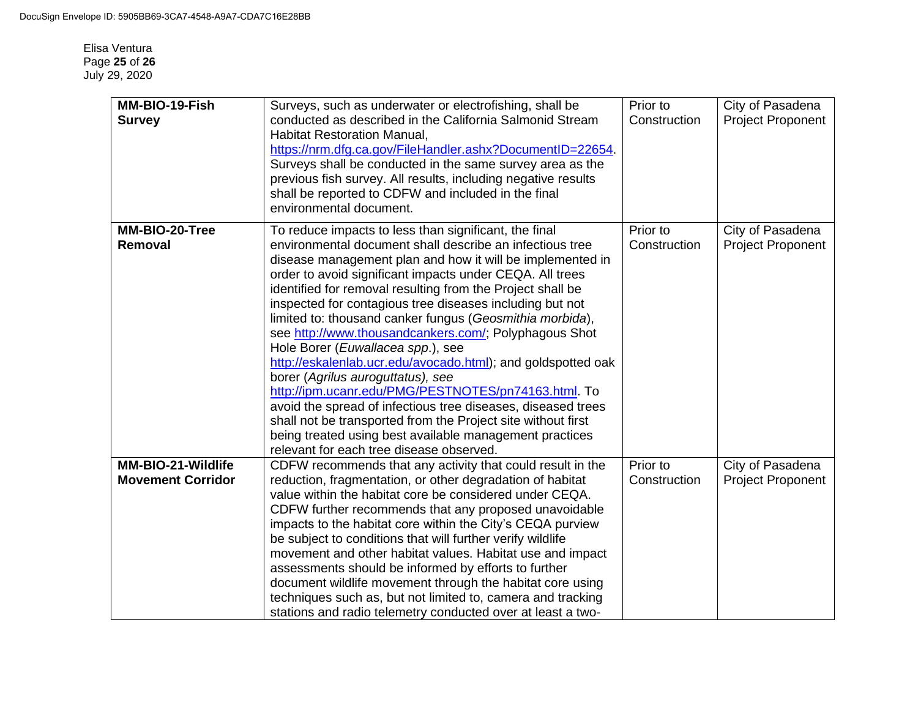| MM-BIO-19-Fish<br><b>Survey</b> | Surveys, such as underwater or electrofishing, shall be<br>conducted as described in the California Salmonid Stream<br><b>Habitat Restoration Manual,</b><br>https://nrm.dfg.ca.gov/FileHandler.ashx?DocumentID=22654.<br>Surveys shall be conducted in the same survey area as the<br>previous fish survey. All results, including negative results<br>shall be reported to CDFW and included in the final<br>environmental document.                                                                                                                                                                                                                                                                                                                                                                                                                                                                                            | Prior to<br>Construction | City of Pasadena<br><b>Project Proponent</b> |
|---------------------------------|-----------------------------------------------------------------------------------------------------------------------------------------------------------------------------------------------------------------------------------------------------------------------------------------------------------------------------------------------------------------------------------------------------------------------------------------------------------------------------------------------------------------------------------------------------------------------------------------------------------------------------------------------------------------------------------------------------------------------------------------------------------------------------------------------------------------------------------------------------------------------------------------------------------------------------------|--------------------------|----------------------------------------------|
| MM-BIO-20-Tree<br>Removal       | To reduce impacts to less than significant, the final<br>environmental document shall describe an infectious tree<br>disease management plan and how it will be implemented in<br>order to avoid significant impacts under CEQA. All trees<br>identified for removal resulting from the Project shall be<br>inspected for contagious tree diseases including but not<br>limited to: thousand canker fungus (Geosmithia morbida),<br>see http://www.thousandcankers.com/; Polyphagous Shot<br>Hole Borer (Euwallacea spp.), see<br>http://eskalenlab.ucr.edu/avocado.html); and goldspotted oak<br>borer (Agrilus auroguttatus), see<br>http://ipm.ucanr.edu/PMG/PESTNOTES/pn74163.html. To<br>avoid the spread of infectious tree diseases, diseased trees<br>shall not be transported from the Project site without first<br>being treated using best available management practices<br>relevant for each tree disease observed. | Prior to<br>Construction | City of Pasadena<br><b>Project Proponent</b> |
| MM-BIO-21-Wildlife              | CDFW recommends that any activity that could result in the                                                                                                                                                                                                                                                                                                                                                                                                                                                                                                                                                                                                                                                                                                                                                                                                                                                                        | Prior to                 | City of Pasadena                             |
| <b>Movement Corridor</b>        | reduction, fragmentation, or other degradation of habitat<br>value within the habitat core be considered under CEQA.<br>CDFW further recommends that any proposed unavoidable<br>impacts to the habitat core within the City's CEQA purview<br>be subject to conditions that will further verify wildlife<br>movement and other habitat values. Habitat use and impact<br>assessments should be informed by efforts to further<br>document wildlife movement through the habitat core using<br>techniques such as, but not limited to, camera and tracking<br>stations and radio telemetry conducted over at least a two-                                                                                                                                                                                                                                                                                                         | Construction             | <b>Project Proponent</b>                     |